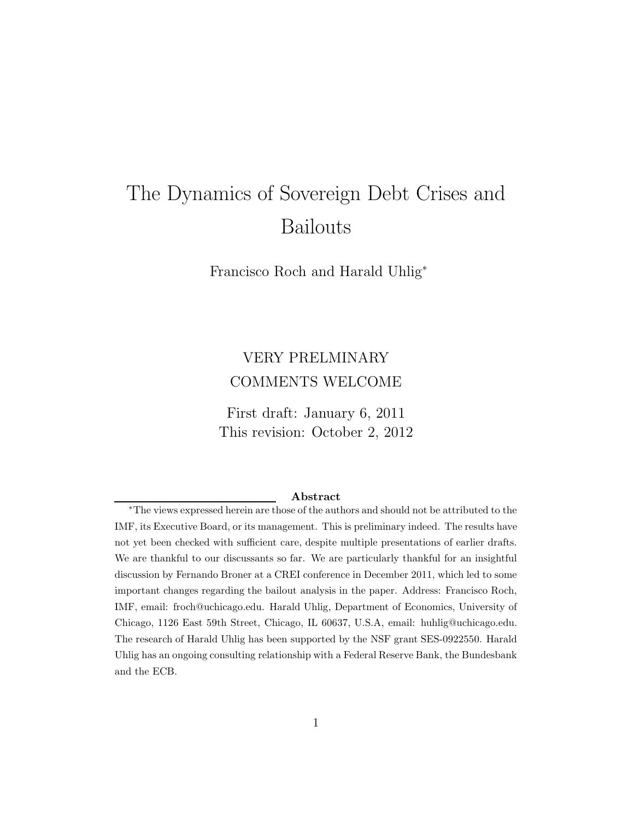# The Dynamics of Sovereign Debt Crises and Bailouts

Francisco Roch and Harald Uhlig<sup>∗</sup>

# VERY PRELMINARY COMMENTS WELCOME

First draft: January 6, 2011 This revision: October 2, 2012

#### Abstract

<sup>∗</sup>The views expressed herein are those of the authors and should not be attributed to the IMF, its Executive Board, or its management. This is preliminary indeed. The results have not yet been checked with sufficient care, despite multiple presentations of earlier drafts. We are thankful to our discussants so far. We are particularly thankful for an insightful discussion by Fernando Broner at a CREI conference in December 2011, which led to some important changes regarding the bailout analysis in the paper. Address: Francisco Roch, IMF, email: froch@uchicago.edu. Harald Uhlig, Department of Economics, University of Chicago, 1126 East 59th Street, Chicago, IL 60637, U.S.A, email: huhlig@uchicago.edu. The research of Harald Uhlig has been supported by the NSF grant SES-0922550. Harald Uhlig has an ongoing consulting relationship with a Federal Reserve Bank, the Bundesbank and the ECB.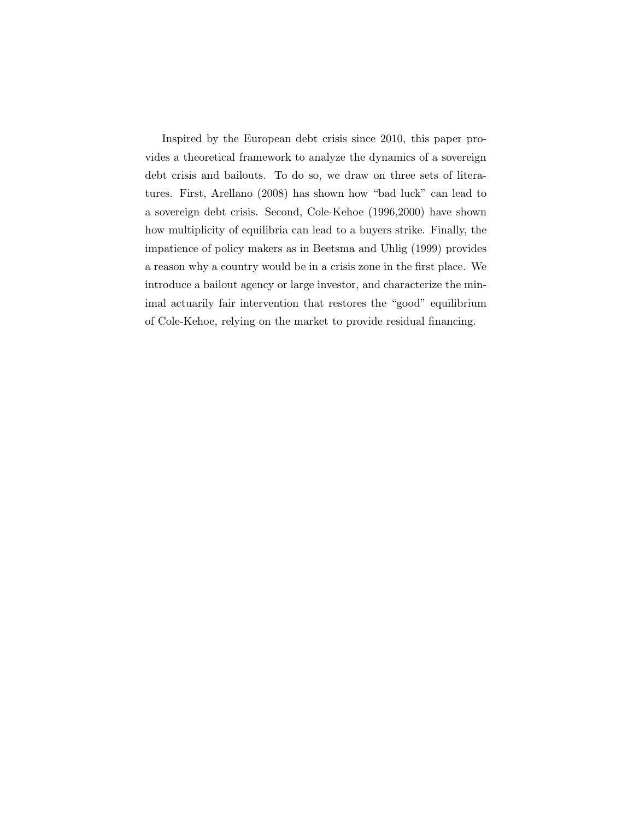Inspired by the European debt crisis since 2010, this paper provides a theoretical framework to analyze the dynamics of a sovereign debt crisis and bailouts. To do so, we draw on three sets of literatures. First, Arellano (2008) has shown how "bad luck" can lead to a sovereign debt crisis. Second, Cole-Kehoe (1996,2000) have shown how multiplicity of equilibria can lead to a buyers strike. Finally, the impatience of policy makers as in Beetsma and Uhlig (1999) provides a reason why a country would be in a crisis zone in the first place. We introduce a bailout agency or large investor, and characterize the minimal actuarily fair intervention that restores the "good" equilibrium of Cole-Kehoe, relying on the market to provide residual financing.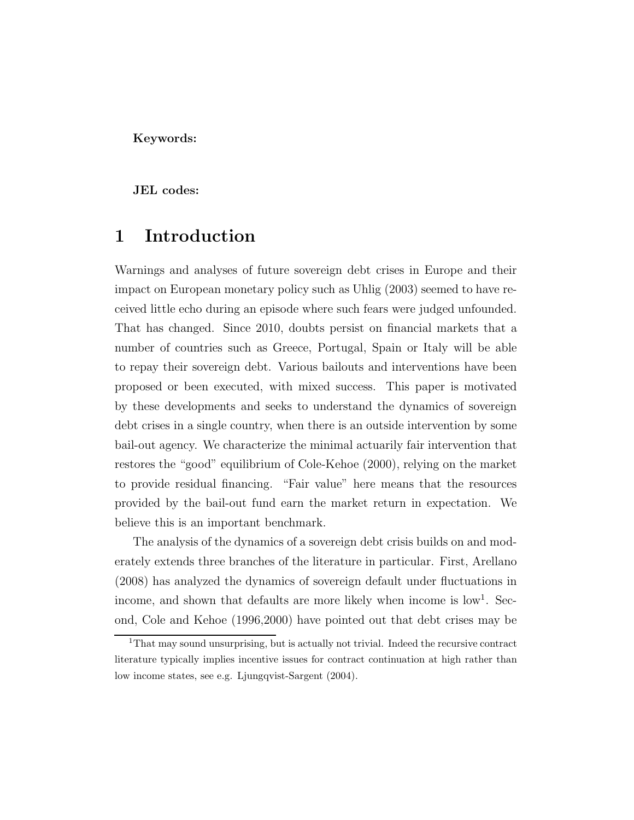Keywords:

JEL codes:

# 1 Introduction

Warnings and analyses of future sovereign debt crises in Europe and their impact on European monetary policy such as Uhlig (2003) seemed to have received little echo during an episode where such fears were judged unfounded. That has changed. Since 2010, doubts persist on financial markets that a number of countries such as Greece, Portugal, Spain or Italy will be able to repay their sovereign debt. Various bailouts and interventions have been proposed or been executed, with mixed success. This paper is motivated by these developments and seeks to understand the dynamics of sovereign debt crises in a single country, when there is an outside intervention by some bail-out agency. We characterize the minimal actuarily fair intervention that restores the "good" equilibrium of Cole-Kehoe (2000), relying on the market to provide residual financing. "Fair value" here means that the resources provided by the bail-out fund earn the market return in expectation. We believe this is an important benchmark.

The analysis of the dynamics of a sovereign debt crisis builds on and moderately extends three branches of the literature in particular. First, Arellano (2008) has analyzed the dynamics of sovereign default under fluctuations in income, and shown that defaults are more likely when income is low<sup>1</sup>. Second, Cole and Kehoe (1996,2000) have pointed out that debt crises may be

<sup>&</sup>lt;sup>1</sup>That may sound unsurprising, but is actually not trivial. Indeed the recursive contract literature typically implies incentive issues for contract continuation at high rather than low income states, see e.g. Ljungqvist-Sargent (2004).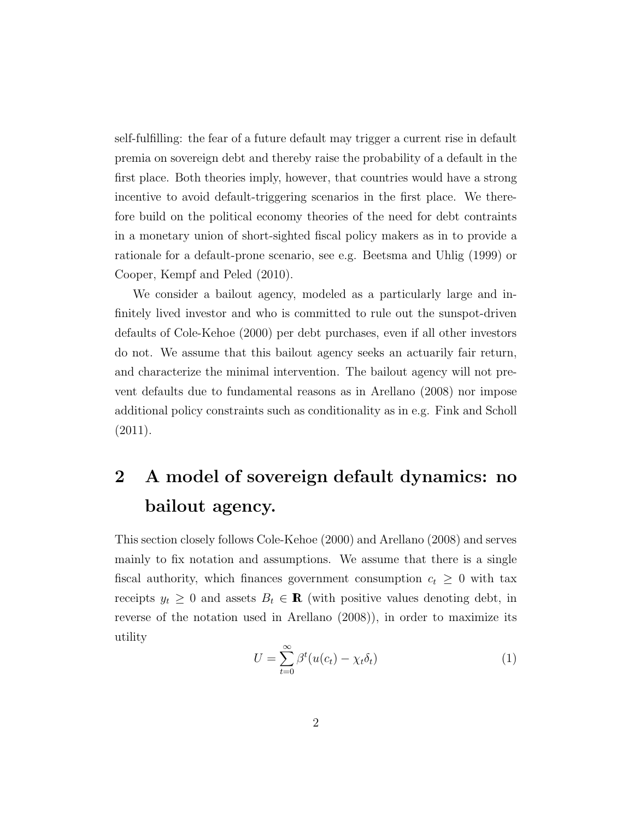self-fulfilling: the fear of a future default may trigger a current rise in default premia on sovereign debt and thereby raise the probability of a default in the first place. Both theories imply, however, that countries would have a strong incentive to avoid default-triggering scenarios in the first place. We therefore build on the political economy theories of the need for debt contraints in a monetary union of short-sighted fiscal policy makers as in to provide a rationale for a default-prone scenario, see e.g. Beetsma and Uhlig (1999) or Cooper, Kempf and Peled (2010).

We consider a bailout agency, modeled as a particularly large and infinitely lived investor and who is committed to rule out the sunspot-driven defaults of Cole-Kehoe (2000) per debt purchases, even if all other investors do not. We assume that this bailout agency seeks an actuarily fair return, and characterize the minimal intervention. The bailout agency will not prevent defaults due to fundamental reasons as in Arellano (2008) nor impose additional policy constraints such as conditionality as in e.g. Fink and Scholl (2011).

# 2 A model of sovereign default dynamics: no bailout agency.

This section closely follows Cole-Kehoe (2000) and Arellano (2008) and serves mainly to fix notation and assumptions. We assume that there is a single fiscal authority, which finances government consumption  $c_t \geq 0$  with tax receipts  $y_t \geq 0$  and assets  $B_t \in \mathbf{R}$  (with positive values denoting debt, in reverse of the notation used in Arellano (2008)), in order to maximize its utility

$$
U = \sum_{t=0}^{\infty} \beta^t (u(c_t) - \chi_t \delta_t)
$$
 (1)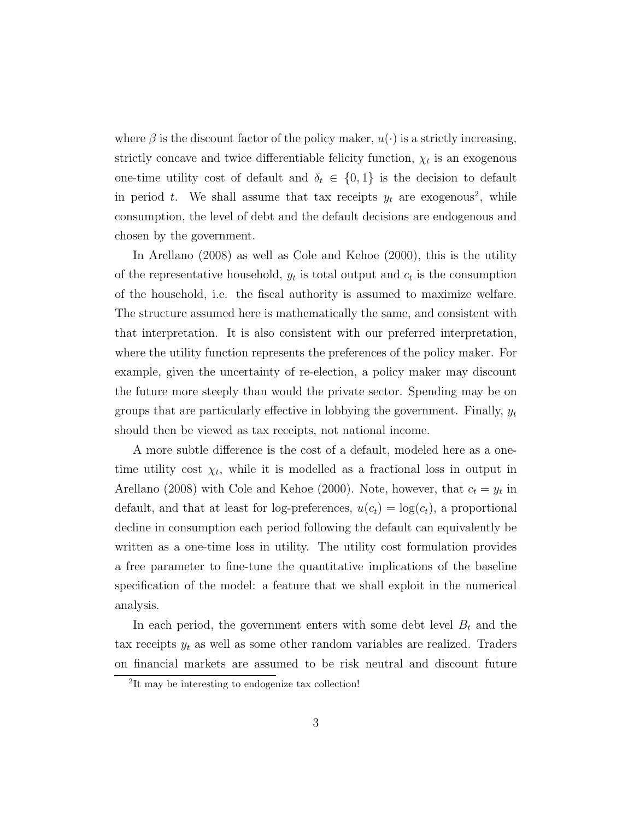where  $\beta$  is the discount factor of the policy maker,  $u(\cdot)$  is a strictly increasing, strictly concave and twice differentiable felicity function,  $\chi_t$  is an exogenous one-time utility cost of default and  $\delta_t \in \{0,1\}$  is the decision to default in period t. We shall assume that tax receipts  $y_t$  are exogenous<sup>2</sup>, while consumption, the level of debt and the default decisions are endogenous and chosen by the government.

In Arellano (2008) as well as Cole and Kehoe (2000), this is the utility of the representative household,  $y_t$  is total output and  $c_t$  is the consumption of the household, i.e. the fiscal authority is assumed to maximize welfare. The structure assumed here is mathematically the same, and consistent with that interpretation. It is also consistent with our preferred interpretation, where the utility function represents the preferences of the policy maker. For example, given the uncertainty of re-election, a policy maker may discount the future more steeply than would the private sector. Spending may be on groups that are particularly effective in lobbying the government. Finally,  $y_t$ should then be viewed as tax receipts, not national income.

A more subtle difference is the cost of a default, modeled here as a onetime utility cost  $\chi_t$ , while it is modelled as a fractional loss in output in Arellano (2008) with Cole and Kehoe (2000). Note, however, that  $c_t = y_t$  in default, and that at least for log-preferences,  $u(c_t) = \log(c_t)$ , a proportional decline in consumption each period following the default can equivalently be written as a one-time loss in utility. The utility cost formulation provides a free parameter to fine-tune the quantitative implications of the baseline specification of the model: a feature that we shall exploit in the numerical analysis.

In each period, the government enters with some debt level  $B_t$  and the tax receipts  $y_t$  as well as some other random variables are realized. Traders on financial markets are assumed to be risk neutral and discount future

<sup>&</sup>lt;sup>2</sup>It may be interesting to endogenize tax collection!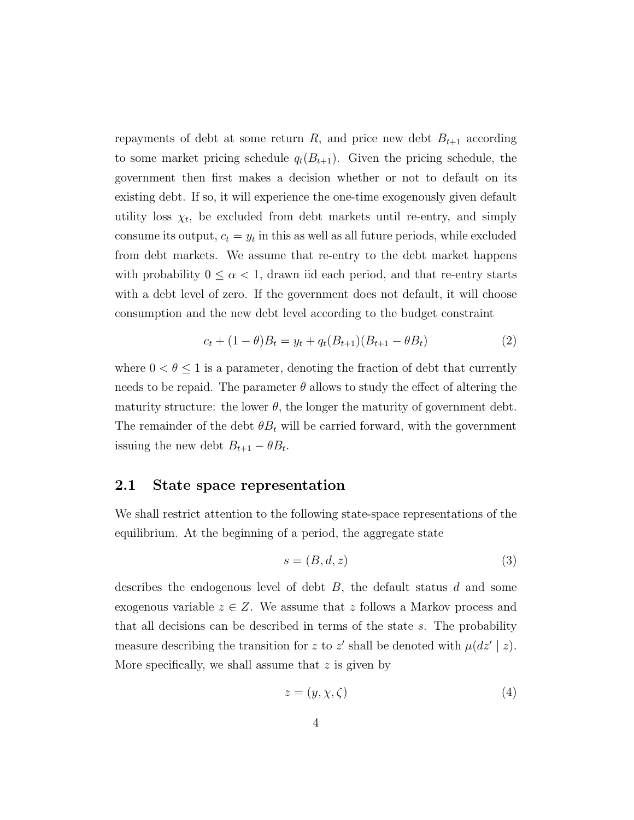repayments of debt at some return R, and price new debt  $B_{t+1}$  according to some market pricing schedule  $q_t(B_{t+1})$ . Given the pricing schedule, the government then first makes a decision whether or not to default on its existing debt. If so, it will experience the one-time exogenously given default utility loss  $\chi_t$ , be excluded from debt markets until re-entry, and simply consume its output,  $c_t = y_t$  in this as well as all future periods, while excluded from debt markets. We assume that re-entry to the debt market happens with probability  $0 \leq \alpha < 1$ , drawn iid each period, and that re-entry starts with a debt level of zero. If the government does not default, it will choose consumption and the new debt level according to the budget constraint

$$
c_t + (1 - \theta)B_t = y_t + q_t(B_{t+1})(B_{t+1} - \theta B_t)
$$
\n(2)

where  $0 < \theta \leq 1$  is a parameter, denoting the fraction of debt that currently needs to be repaid. The parameter  $\theta$  allows to study the effect of altering the maturity structure: the lower  $\theta$ , the longer the maturity of government debt. The remainder of the debt  $\theta B_t$  will be carried forward, with the government issuing the new debt  $B_{t+1} - \theta B_t$ .

#### 2.1 State space representation

We shall restrict attention to the following state-space representations of the equilibrium. At the beginning of a period, the aggregate state

$$
s = (B, d, z) \tag{3}
$$

describes the endogenous level of debt  $B$ , the default status  $d$  and some exogenous variable  $z \in Z$ . We assume that z follows a Markov process and that all decisions can be described in terms of the state s. The probability measure describing the transition for z to z' shall be denoted with  $\mu(dz' | z)$ . More specifically, we shall assume that  $z$  is given by

$$
z = (y, \chi, \zeta) \tag{4}
$$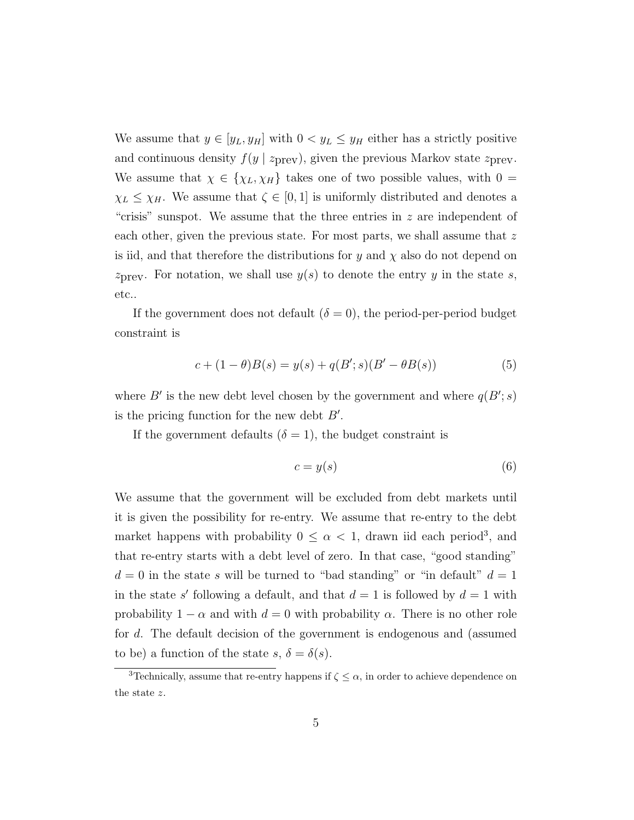We assume that  $y \in [y_L, y_H]$  with  $0 < y_L \le y_H$  either has a strictly positive and continuous density  $f(y \mid z_{\text{prev}})$ , given the previous Markov state  $z_{\text{prev}}$ . We assume that  $\chi \in \{\chi_L, \chi_H\}$  takes one of two possible values, with  $0 =$  $\chi_L \leq \chi_H$ . We assume that  $\zeta \in [0, 1]$  is uniformly distributed and denotes a "crisis" sunspot. We assume that the three entries in  $z$  are independent of each other, given the previous state. For most parts, we shall assume that z is iid, and that therefore the distributions for y and  $\chi$  also do not depend on  $z_{\text{prev}}$ . For notation, we shall use  $y(s)$  to denote the entry y in the state s, etc..

If the government does not default  $(\delta = 0)$ , the period-per-period budget constraint is

$$
c + (1 - \theta)B(s) = y(s) + q(B'; s)(B' - \theta B(s))
$$
\n(5)

where B' is the new debt level chosen by the government and where  $q(B'; s)$ is the pricing function for the new debt  $B'$ .

If the government defaults  $(\delta = 1)$ , the budget constraint is

$$
c = y(s) \tag{6}
$$

We assume that the government will be excluded from debt markets until it is given the possibility for re-entry. We assume that re-entry to the debt market happens with probability  $0 \leq \alpha < 1$ , drawn iid each period<sup>3</sup>, and that re-entry starts with a debt level of zero. In that case, "good standing"  $d = 0$  in the state s will be turned to "bad standing" or "in default"  $d = 1$ in the state s' following a default, and that  $d = 1$  is followed by  $d = 1$  with probability  $1 - \alpha$  and with  $d = 0$  with probability  $\alpha$ . There is no other role for d. The default decision of the government is endogenous and (assumed to be) a function of the state  $s, \delta = \delta(s)$ .

<sup>&</sup>lt;sup>3</sup>Technically, assume that re-entry happens if  $\zeta \leq \alpha$ , in order to achieve dependence on the state z.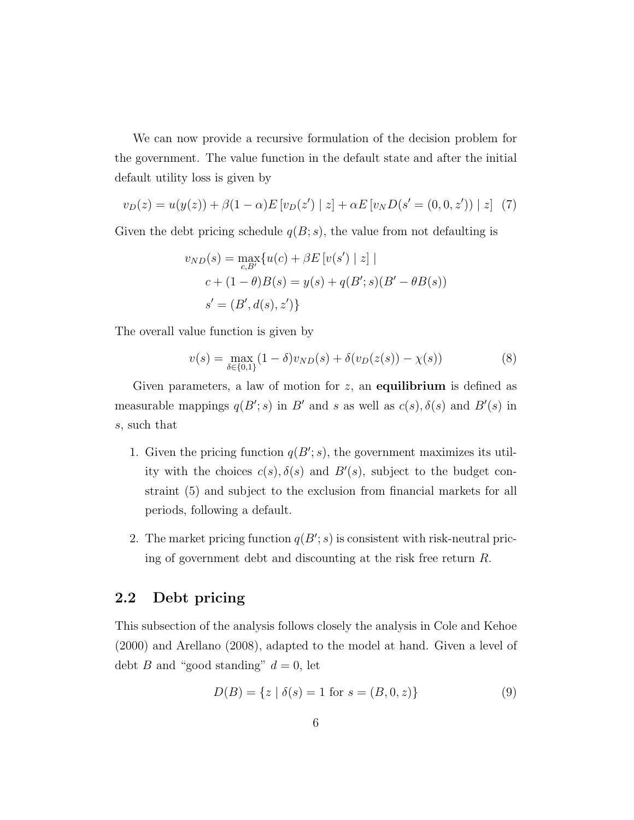We can now provide a recursive formulation of the decision problem for the government. The value function in the default state and after the initial default utility loss is given by

$$
v_D(z) = u(y(z)) + \beta(1 - \alpha)E[v_D(z') | z] + \alpha E[v_N D(s' = (0, 0, z')) | z]
$$
 (7)

Given the debt pricing schedule  $q(B; s)$ , the value from not defaulting is

$$
v_{ND}(s) = \max_{c, B'} \{ u(c) + \beta E [v(s') | z] |
$$
  

$$
c + (1 - \theta)B(s) = y(s) + q(B'; s)(B' - \theta B(s))
$$
  

$$
s' = (B', d(s), z') \}
$$

The overall value function is given by

$$
v(s) = \max_{\delta \in \{0,1\}} (1 - \delta) v_{ND}(s) + \delta(v_D(z(s)) - \chi(s))
$$
 (8)

Given parameters, a law of motion for  $z$ , an **equilibrium** is defined as measurable mappings  $q(B'; s)$  in B' and s as well as  $c(s)$ ,  $\delta(s)$  and  $B'(s)$  in s, such that

- 1. Given the pricing function  $q(B'; s)$ , the government maximizes its utility with the choices  $c(s)$ ,  $\delta(s)$  and  $B'(s)$ , subject to the budget constraint (5) and subject to the exclusion from financial markets for all periods, following a default.
- 2. The market pricing function  $q(B'; s)$  is consistent with risk-neutral pricing of government debt and discounting at the risk free return R.

#### 2.2 Debt pricing

This subsection of the analysis follows closely the analysis in Cole and Kehoe (2000) and Arellano (2008), adapted to the model at hand. Given a level of debt B and "good standing"  $d = 0$ , let

$$
D(B) = \{ z \mid \delta(s) = 1 \text{ for } s = (B, 0, z) \}
$$
\n(9)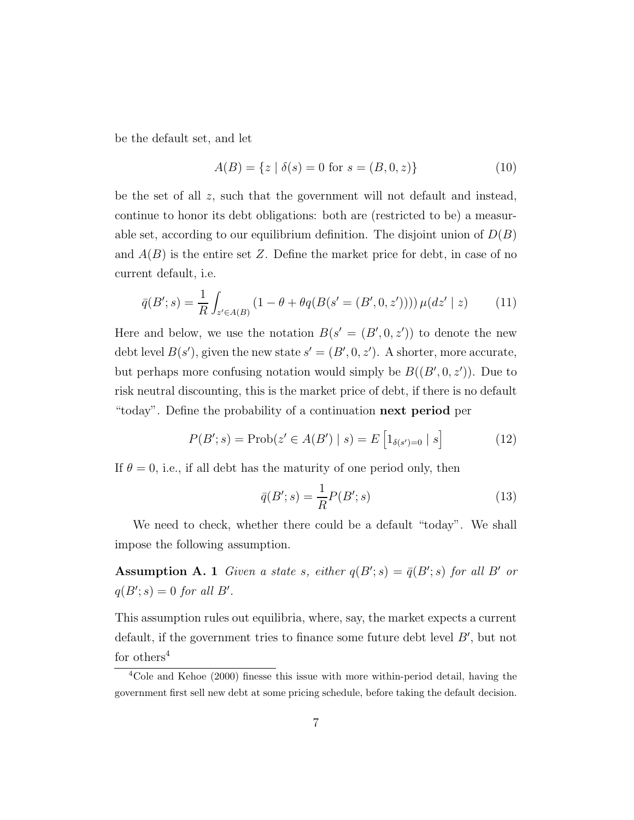be the default set, and let

$$
A(B) = \{ z \mid \delta(s) = 0 \text{ for } s = (B, 0, z) \}
$$
 (10)

be the set of all z, such that the government will not default and instead, continue to honor its debt obligations: both are (restricted to be) a measurable set, according to our equilibrium definition. The disjoint union of  $D(B)$ and  $A(B)$  is the entire set Z. Define the market price for debt, in case of no current default, i.e.

$$
\bar{q}(B';s) = \frac{1}{R} \int_{z' \in A(B)} (1 - \theta + \theta q(B(s' = (B', 0, z')))) \mu(dz' | z)
$$
(11)

Here and below, we use the notation  $B(s' = (B', 0, z'))$  to denote the new debt level  $B(s')$ , given the new state  $s' = (B', 0, z')$ . A shorter, more accurate, but perhaps more confusing notation would simply be  $B((B', 0, z'))$ . Due to risk neutral discounting, this is the market price of debt, if there is no default "today". Define the probability of a continuation next period per

$$
P(B'; s) = \text{Prob}(z' \in A(B') \mid s) = E\left[1_{\delta(s')=0} \mid s\right]
$$
 (12)

If  $\theta = 0$ , i.e., if all debt has the maturity of one period only, then

$$
\bar{q}(B';s) = \frac{1}{R}P(B';s)
$$
\n<sup>(13)</sup>

We need to check, whether there could be a default "today". We shall impose the following assumption.

**Assumption A. 1** Given a state s, either  $q(B'; s) = \bar{q}(B'; s)$  for all B' or  $q(B'; s) = 0$  for all B'.

This assumption rules out equilibria, where, say, the market expects a current default, if the government tries to finance some future debt level  $B'$ , but not for others<sup>4</sup>

<sup>4</sup>Cole and Kehoe (2000) finesse this issue with more within-period detail, having the government first sell new debt at some pricing schedule, before taking the default decision.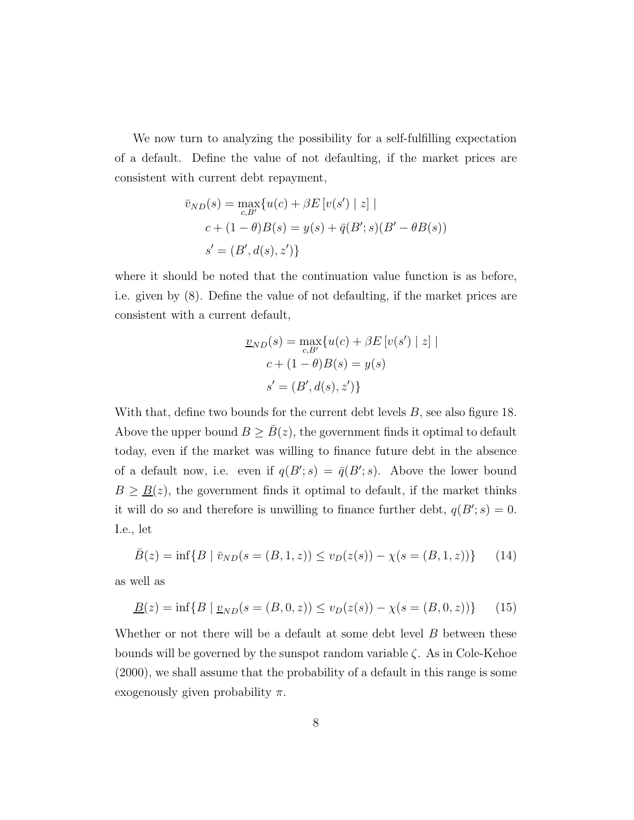We now turn to analyzing the possibility for a self-fulfilling expectation of a default. Define the value of not defaulting, if the market prices are consistent with current debt repayment,

$$
\bar{v}_{ND}(s) = \max_{c, B'} \{ u(c) + \beta E [v(s') | z] |
$$
  

$$
c + (1 - \theta)B(s) = y(s) + \bar{q}(B'; s)(B' - \theta B(s))
$$
  

$$
s' = (B', d(s), z') \}
$$

where it should be noted that the continuation value function is as before, i.e. given by (8). Define the value of not defaulting, if the market prices are consistent with a current default,

$$
\underline{v}_{ND}(s) = \max_{c, B'} \{ u(c) + \beta E \left[ v(s') \mid z \right] \mid
$$

$$
c + (1 - \theta)B(s) = y(s)
$$

$$
s' = (B', d(s), z') \}
$$

With that, define two bounds for the current debt levels  $B$ , see also figure 18. Above the upper bound  $B \geq \overline{B}(z)$ , the government finds it optimal to default today, even if the market was willing to finance future debt in the absence of a default now, i.e. even if  $q(B'; s) = \bar{q}(B'; s)$ . Above the lower bound  $B \geq \underline{B}(z)$ , the government finds it optimal to default, if the market thinks it will do so and therefore is unwilling to finance further debt,  $q(B'; s) = 0$ . I.e., let

$$
\bar{B}(z) = \inf\{B \mid \bar{v}_{ND}(s = (B, 1, z)) \le v_D(z(s)) - \chi(s = (B, 1, z))\}
$$
(14)

as well as

$$
\underline{B}(z) = \inf \{ B \mid \underline{v}_{ND}(s = (B, 0, z)) \le v_D(z(s)) - \chi(s = (B, 0, z)) \} \tag{15}
$$

Whether or not there will be a default at some debt level B between these bounds will be governed by the sunspot random variable  $\zeta$ . As in Cole-Kehoe (2000), we shall assume that the probability of a default in this range is some exogenously given probability  $\pi$ .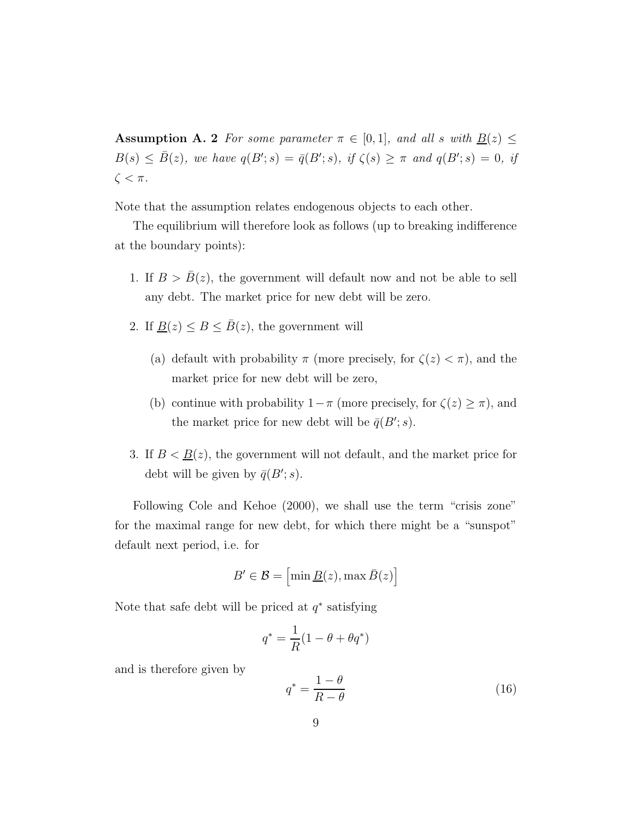**Assumption A. 2** For some parameter  $\pi \in [0,1]$ , and all s with  $\underline{B}(z) \leq$  $B(s) \leq \overline{B}(z)$ , we have  $q(B'; s) = \overline{q}(B'; s)$ , if  $\zeta(s) \geq \pi$  and  $q(B'; s) = 0$ , if  $\zeta < \pi$ .

Note that the assumption relates endogenous objects to each other.

The equilibrium will therefore look as follows (up to breaking indifference at the boundary points):

- 1. If  $B > \overline{B}(z)$ , the government will default now and not be able to sell any debt. The market price for new debt will be zero.
- 2. If  $\underline{B}(z) \leq B \leq \overline{B}(z)$ , the government will
	- (a) default with probability  $\pi$  (more precisely, for  $\zeta(z) < \pi$ ), and the market price for new debt will be zero,
	- (b) continue with probability  $1-\pi$  (more precisely, for  $\zeta(z) \geq \pi$ ), and the market price for new debt will be  $\bar{q}(B'; s)$ .
- 3. If  $B < \underline{B}(z)$ , the government will not default, and the market price for debt will be given by  $\bar{q}(B'; s)$ .

Following Cole and Kehoe (2000), we shall use the term "crisis zone" for the maximal range for new debt, for which there might be a "sunspot" default next period, i.e. for

$$
B' \in \mathcal{B} = \left[ \min \underline{B}(z), \max \bar{B}(z) \right]
$$

Note that safe debt will be priced at  $q^*$  satisfying

$$
q^* = \frac{1}{R}(1 - \theta + \theta q^*)
$$

and is therefore given by

$$
q^* = \frac{1 - \theta}{R - \theta} \tag{16}
$$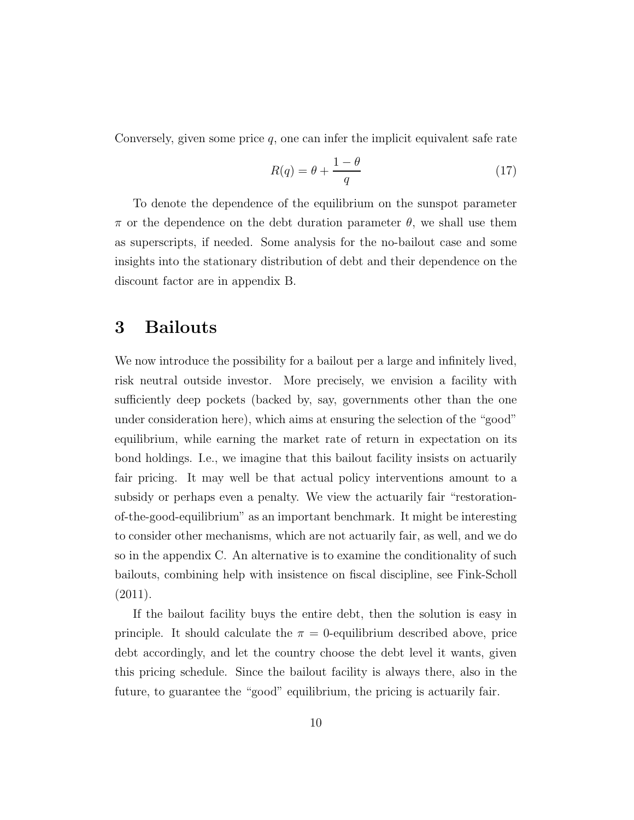Conversely, given some price  $q$ , one can infer the implicit equivalent safe rate

$$
R(q) = \theta + \frac{1 - \theta}{q} \tag{17}
$$

To denote the dependence of the equilibrium on the sunspot parameter  $\pi$  or the dependence on the debt duration parameter  $\theta$ , we shall use them as superscripts, if needed. Some analysis for the no-bailout case and some insights into the stationary distribution of debt and their dependence on the discount factor are in appendix B.

## 3 Bailouts

We now introduce the possibility for a bailout per a large and infinitely lived, risk neutral outside investor. More precisely, we envision a facility with sufficiently deep pockets (backed by, say, governments other than the one under consideration here), which aims at ensuring the selection of the "good" equilibrium, while earning the market rate of return in expectation on its bond holdings. I.e., we imagine that this bailout facility insists on actuarily fair pricing. It may well be that actual policy interventions amount to a subsidy or perhaps even a penalty. We view the actuarily fair "restorationof-the-good-equilibrium" as an important benchmark. It might be interesting to consider other mechanisms, which are not actuarily fair, as well, and we do so in the appendix C. An alternative is to examine the conditionality of such bailouts, combining help with insistence on fiscal discipline, see Fink-Scholl (2011).

If the bailout facility buys the entire debt, then the solution is easy in principle. It should calculate the  $\pi = 0$ -equilibrium described above, price debt accordingly, and let the country choose the debt level it wants, given this pricing schedule. Since the bailout facility is always there, also in the future, to guarantee the "good" equilibrium, the pricing is actuarily fair.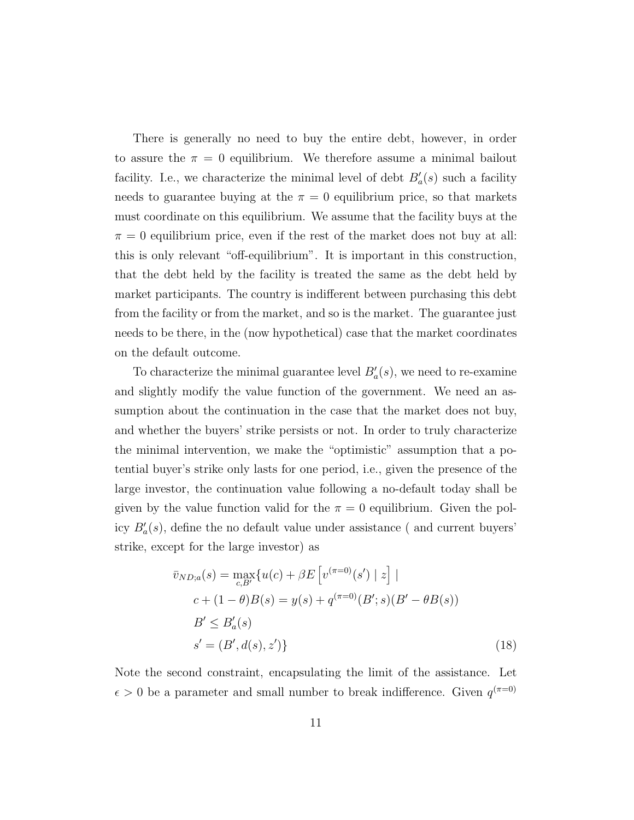There is generally no need to buy the entire debt, however, in order to assure the  $\pi = 0$  equilibrium. We therefore assume a minimal bailout facility. I.e., we characterize the minimal level of debt  $B'_a(s)$  such a facility needs to guarantee buying at the  $\pi = 0$  equilibrium price, so that markets must coordinate on this equilibrium. We assume that the facility buys at the  $\pi = 0$  equilibrium price, even if the rest of the market does not buy at all: this is only relevant "off-equilibrium". It is important in this construction, that the debt held by the facility is treated the same as the debt held by market participants. The country is indifferent between purchasing this debt from the facility or from the market, and so is the market. The guarantee just needs to be there, in the (now hypothetical) case that the market coordinates on the default outcome.

To characterize the minimal guarantee level  $B'_a(s)$ , we need to re-examine and slightly modify the value function of the government. We need an assumption about the continuation in the case that the market does not buy, and whether the buyers' strike persists or not. In order to truly characterize the minimal intervention, we make the "optimistic" assumption that a potential buyer's strike only lasts for one period, i.e., given the presence of the large investor, the continuation value following a no-default today shall be given by the value function valid for the  $\pi = 0$  equilibrium. Given the policy  $B'_a(s)$ , define the no default value under assistance (and current buyers' strike, except for the large investor) as

$$
\bar{v}_{ND;a}(s) = \max_{c,B'} \{ u(c) + \beta E \left[ v^{(\pi=0)}(s') \mid z \right] \mid
$$
  
\n
$$
c + (1 - \theta)B(s) = y(s) + q^{(\pi=0)}(B'; s)(B' - \theta B(s))
$$
  
\n
$$
B' \le B'_a(s)
$$
  
\n
$$
s' = (B', d(s), z') \}
$$
\n(18)

Note the second constraint, encapsulating the limit of the assistance. Let  $\epsilon > 0$  be a parameter and small number to break indifference. Given  $q^{(\pi=0)}$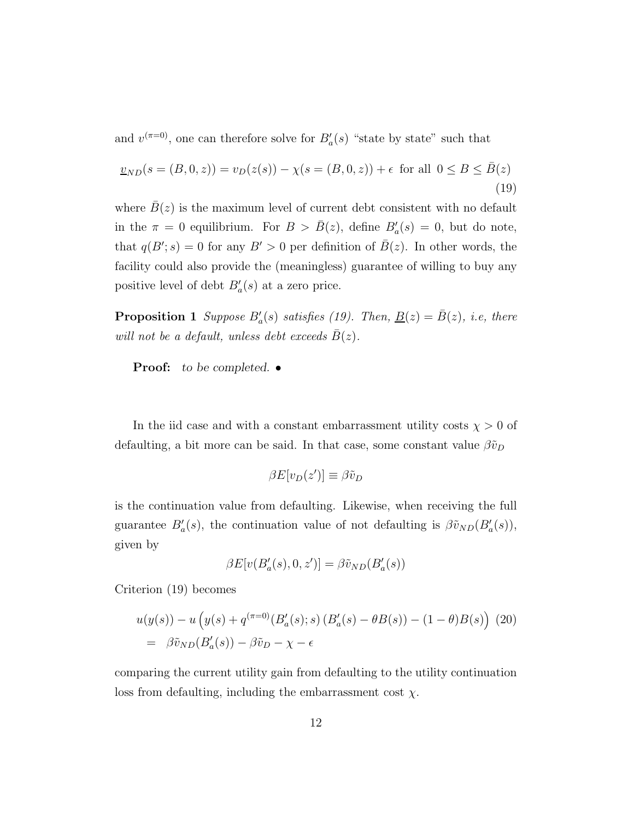and  $v^{(\pi=0)}$ , one can therefore solve for  $B'_a(s)$  "state by state" such that

$$
\underline{v}_{ND}(s = (B, 0, z)) = v_D(z(s)) - \chi(s = (B, 0, z)) + \epsilon \text{ for all } 0 \le B \le \bar{B}(z)
$$
\n(19)

where  $\bar{B}(z)$  is the maximum level of current debt consistent with no default in the  $\pi = 0$  equilibrium. For  $B > \bar{B}(z)$ , define  $B'_a(s) = 0$ , but do note, that  $q(B'; s) = 0$  for any  $B' > 0$  per definition of  $\overline{B}(z)$ . In other words, the facility could also provide the (meaningless) guarantee of willing to buy any positive level of debt  $B'_a(s)$  at a zero price.

**Proposition 1** Suppose  $B'_a(s)$  satisfies (19). Then,  $\underline{B}(z) = \overline{B}(z)$ , i.e, there will not be a default, unless debt exceeds  $\bar{B}(z)$ .

Proof: to be completed.  $\bullet$ 

In the iid case and with a constant embarrassment utility costs  $\chi > 0$  of defaulting, a bit more can be said. In that case, some constant value  $\beta \tilde{v}_D$ 

$$
\beta E[v_D(z')] \equiv \beta \tilde{v}_D
$$

is the continuation value from defaulting. Likewise, when receiving the full guarantee  $B'_a(s)$ , the continuation value of not defaulting is  $\beta \tilde{v}_{ND}(B'_a(s))$ , given by

$$
\beta E[v(B'_a(s),0,z')] = \beta \tilde{v}_{ND}(B'_a(s))
$$

Criterion (19) becomes

$$
u(y(s)) - u(y(s) + q^{(\pi=0)}(B'_a(s); s) (B'_a(s) - \theta B(s)) - (1 - \theta)B(s))
$$
 (20)  
=  $\beta \tilde{v}_{ND}(B'_a(s)) - \beta \tilde{v}_D - \chi - \epsilon$ 

comparing the current utility gain from defaulting to the utility continuation loss from defaulting, including the embarrassment cost  $\chi$ .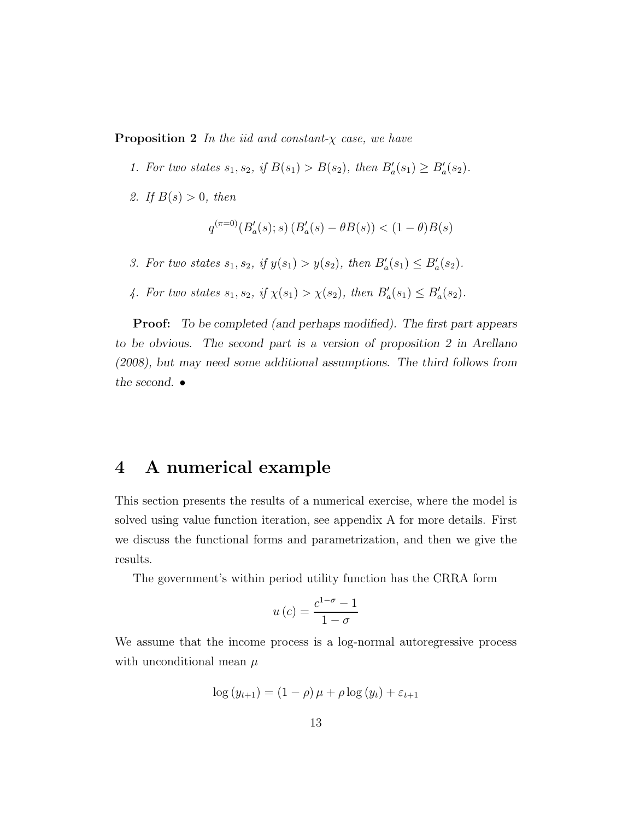**Proposition 2** In the iid and constant- $\chi$  case, we have

- 1. For two states  $s_1, s_2$ , if  $B(s_1) > B(s_2)$ , then  $B'_a(s_1) \ge B'_a(s_2)$ .
- 2. If  $B(s) > 0$ , then

$$
q^{(\pi=0)}(B'_a(s);s) (B'_a(s) - \theta B(s)) < (1 - \theta)B(s)
$$

- 3. For two states  $s_1, s_2$ , if  $y(s_1) > y(s_2)$ , then  $B'_a(s_1) \le B'_a(s_2)$ .
- 4. For two states  $s_1, s_2$ , if  $\chi(s_1) > \chi(s_2)$ , then  $B'_a(s_1) \leq B'_a(s_2)$ .

Proof: To be completed (and perhaps modified). The first part appears to be obvious. The second part is a version of proposition 2 in Arellano (2008), but may need some additional assumptions. The third follows from the second.  $\bullet$ 

### 4 A numerical example

This section presents the results of a numerical exercise, where the model is solved using value function iteration, see appendix A for more details. First we discuss the functional forms and parametrization, and then we give the results.

The government's within period utility function has the CRRA form

$$
u\left(c\right) = \frac{c^{1-\sigma} - 1}{1 - \sigma}
$$

We assume that the income process is a log-normal autoregressive process with unconditional mean  $\mu$ 

$$
\log(y_{t+1}) = (1 - \rho)\mu + \rho \log(y_t) + \varepsilon_{t+1}
$$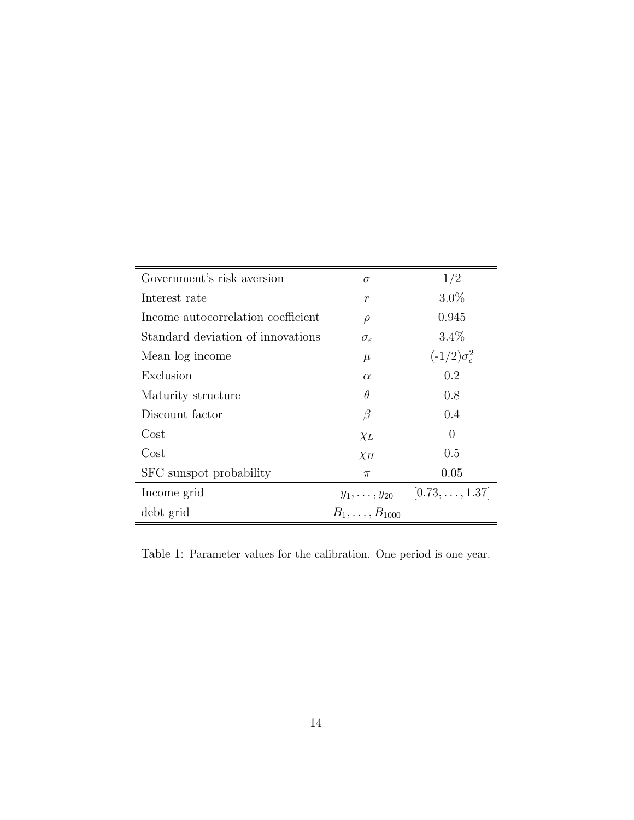| Government's risk aversion         | $\sigma$                | 1/2                           |
|------------------------------------|-------------------------|-------------------------------|
| Interest rate                      | $\boldsymbol{r}$        | $3.0\%$                       |
| Income autocorrelation coefficient | $\rho$                  | 0.945                         |
| Standard deviation of innovations  | $\sigma_{\epsilon}$     | $3.4\%$                       |
| Mean log income                    | $\mu$                   | $(-1/2)\sigma_{\epsilon}^{2}$ |
| Exclusion                          | $\alpha$                | 0.2                           |
| Maturity structure                 | θ                       | 0.8                           |
| Discount factor                    | $\beta$                 | 0.4                           |
| Cost                               | $\chi_L$                | 0                             |
| Cost                               | $\chi_H$                | 0.5                           |
| SFC sunspot probability            | $\pi$                   | 0.05                          |
| Income grid                        | $y_1, \ldots, y_{20}$   | $[0.73, \ldots, 1.37]$        |
| debt grid                          | $B_1, \ldots, B_{1000}$ |                               |

Table 1: Parameter values for the calibration. One period is one year.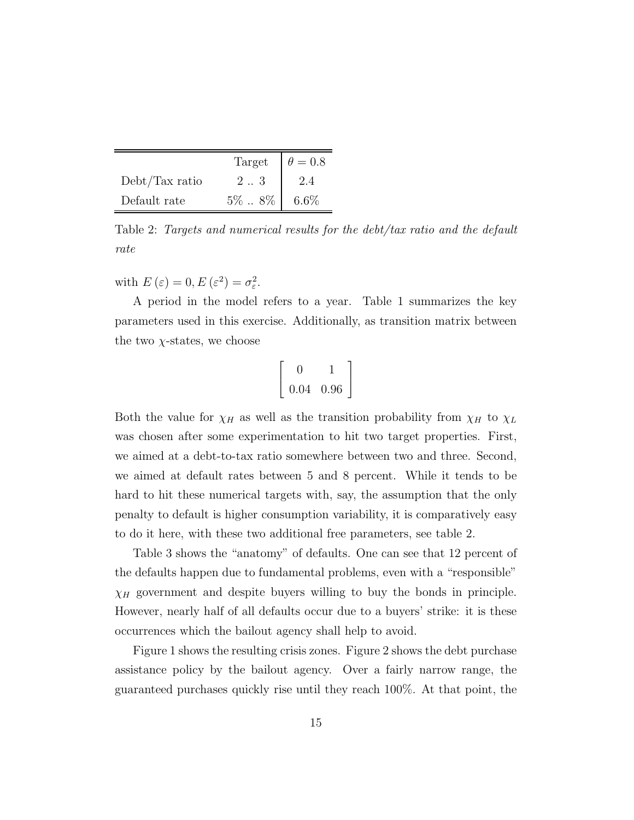|                | Target            | $\theta = 0.8$ |
|----------------|-------------------|----------------|
| Debt/Tax ratio | 2.3               |                |
| Default rate   | $5\%$ $8\%$ 6.6\% |                |

Table 2: Targets and numerical results for the debt/tax ratio and the default rate

with  $E(\varepsilon) = 0, E(\varepsilon^2) = \sigma_{\varepsilon}^2$ .

A period in the model refers to a year. Table 1 summarizes the key parameters used in this exercise. Additionally, as transition matrix between the two  $\chi$ -states, we choose

$$
\left[\begin{array}{cc}0&1\\0.04&0.96\end{array}\right]
$$

Both the value for  $\chi_H$  as well as the transition probability from  $\chi_H$  to  $\chi_L$ was chosen after some experimentation to hit two target properties. First, we aimed at a debt-to-tax ratio somewhere between two and three. Second, we aimed at default rates between 5 and 8 percent. While it tends to be hard to hit these numerical targets with, say, the assumption that the only penalty to default is higher consumption variability, it is comparatively easy to do it here, with these two additional free parameters, see table 2.

Table 3 shows the "anatomy" of defaults. One can see that 12 percent of the defaults happen due to fundamental problems, even with a "responsible"  $\chi_H$  government and despite buyers willing to buy the bonds in principle. However, nearly half of all defaults occur due to a buyers' strike: it is these occurrences which the bailout agency shall help to avoid.

Figure 1 shows the resulting crisis zones. Figure 2 shows the debt purchase assistance policy by the bailout agency. Over a fairly narrow range, the guaranteed purchases quickly rise until they reach 100%. At that point, the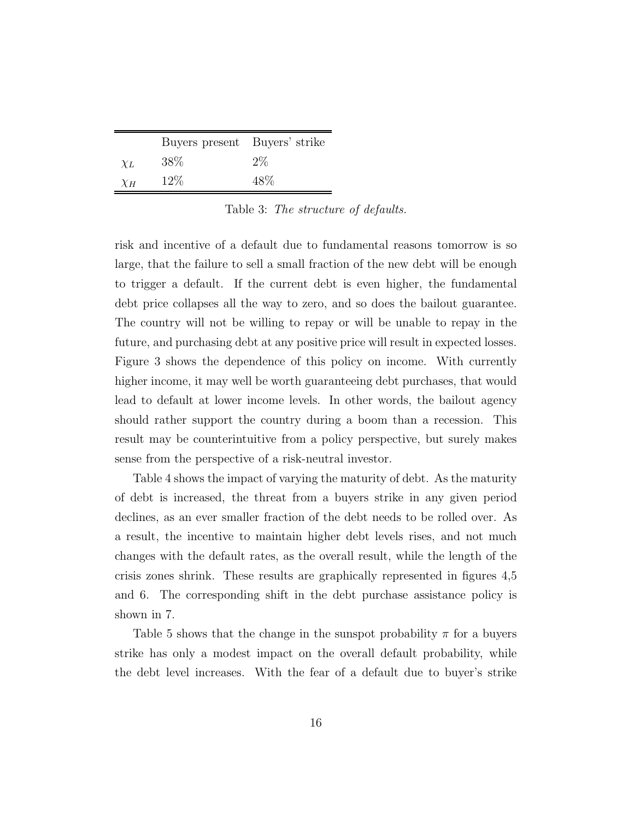|          | Buyers present Buyers' strike |       |
|----------|-------------------------------|-------|
| $\chi_L$ | 38\%                          | $2\%$ |
| $\chi_H$ | $12\%$                        | 48\%  |

Table 3: The structure of defaults.

risk and incentive of a default due to fundamental reasons tomorrow is so large, that the failure to sell a small fraction of the new debt will be enough to trigger a default. If the current debt is even higher, the fundamental debt price collapses all the way to zero, and so does the bailout guarantee. The country will not be willing to repay or will be unable to repay in the future, and purchasing debt at any positive price will result in expected losses. Figure 3 shows the dependence of this policy on income. With currently higher income, it may well be worth guaranteeing debt purchases, that would lead to default at lower income levels. In other words, the bailout agency should rather support the country during a boom than a recession. This result may be counterintuitive from a policy perspective, but surely makes sense from the perspective of a risk-neutral investor.

Table 4 shows the impact of varying the maturity of debt. As the maturity of debt is increased, the threat from a buyers strike in any given period declines, as an ever smaller fraction of the debt needs to be rolled over. As a result, the incentive to maintain higher debt levels rises, and not much changes with the default rates, as the overall result, while the length of the crisis zones shrink. These results are graphically represented in figures 4,5 and 6. The corresponding shift in the debt purchase assistance policy is shown in 7.

Table 5 shows that the change in the sunspot probability  $\pi$  for a buyers strike has only a modest impact on the overall default probability, while the debt level increases. With the fear of a default due to buyer's strike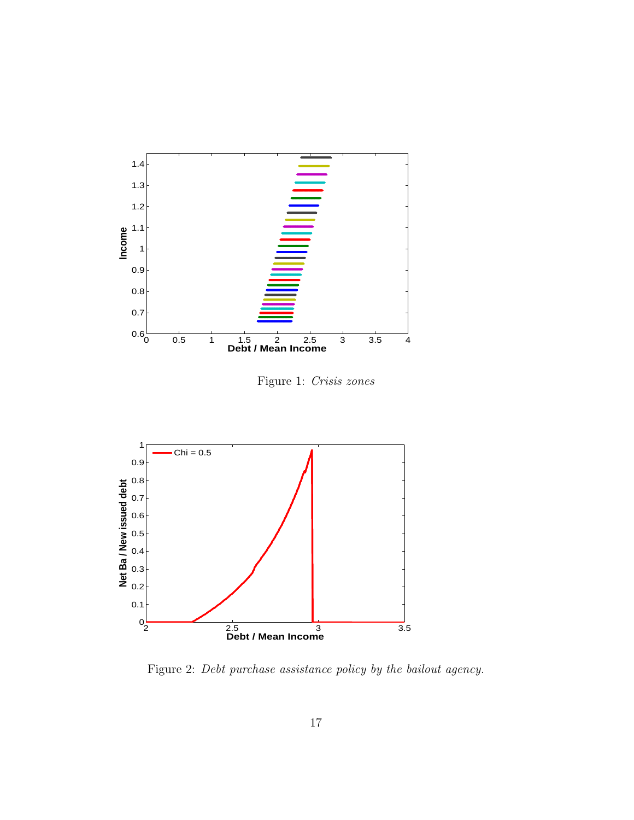

Figure 1: Crisis zones



Figure 2: Debt purchase assistance policy by the bailout agency.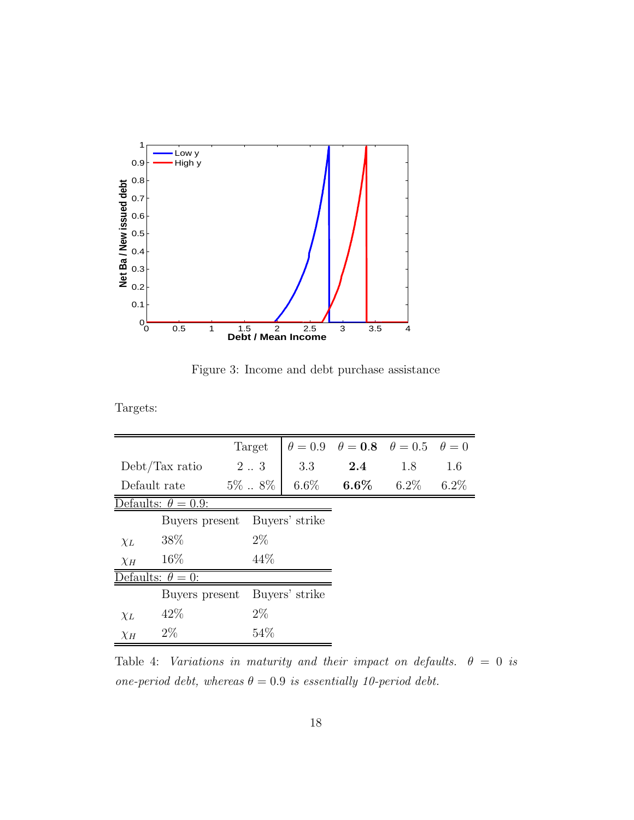

Figure 3: Income and debt purchase assistance

Targets:

|                            |                         | Target               |                | $\theta = 0.9$ $\theta = 0.8$ $\theta = 0.5$ $\theta = 0$ |         |         |
|----------------------------|-------------------------|----------------------|----------------|-----------------------------------------------------------|---------|---------|
|                            | Debt/Tax ratio          | $2 \ldots 3$         | 3.3            | $2.4\,$                                                   | 1.8     | 1.6     |
|                            | Default rate            | $5\%$ $\ldots$ $8\%$ | $6.6\%$        | $6.6\%$                                                   | $6.2\%$ | $6.2\%$ |
| Defaults: $\theta = 0.9$ : |                         |                      |                |                                                           |         |         |
|                            | Buyers present          |                      | Buyers' strike |                                                           |         |         |
| $\chi_L$                   | 38\%                    | $2\%$                |                |                                                           |         |         |
| $\chi_H$                   | 16\%                    | 44\%                 |                |                                                           |         |         |
|                            | efaults: $\theta = 0$ : |                      |                |                                                           |         |         |
|                            | Buyers present          |                      | Buyers' strike |                                                           |         |         |
| $\chi_L$                   | 42\%                    | $2\%$                |                |                                                           |         |         |
| $\chi_H$                   | $2\%$                   | 54\%                 |                |                                                           |         |         |

Table 4: Variations in maturity and their impact on defaults.  $\theta = 0$  is one-period debt, whereas  $\theta = 0.9$  is essentially 10-period debt.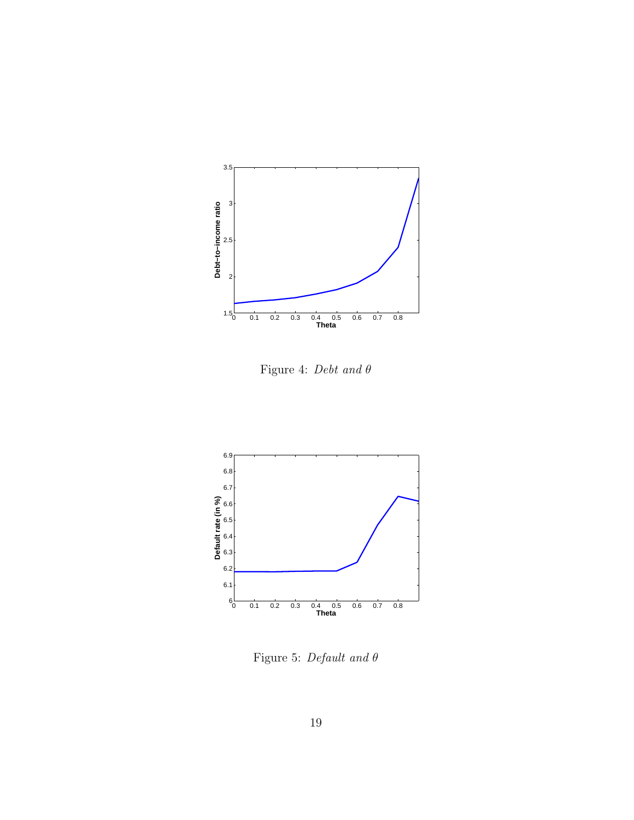

Figure 4: Debt and θ



Figure 5: Default and  $\theta$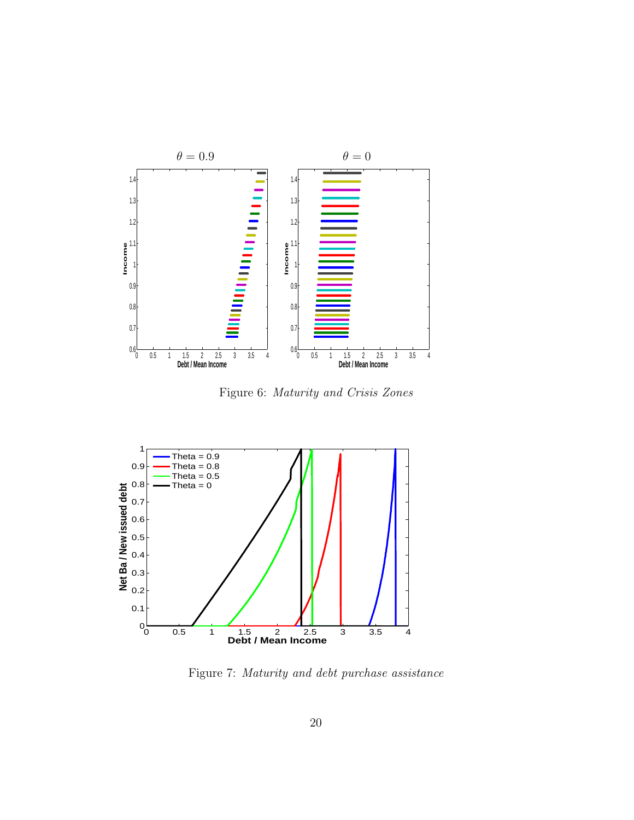

Figure 6: Maturity and Crisis Zones



Figure 7: Maturity and debt purchase assistance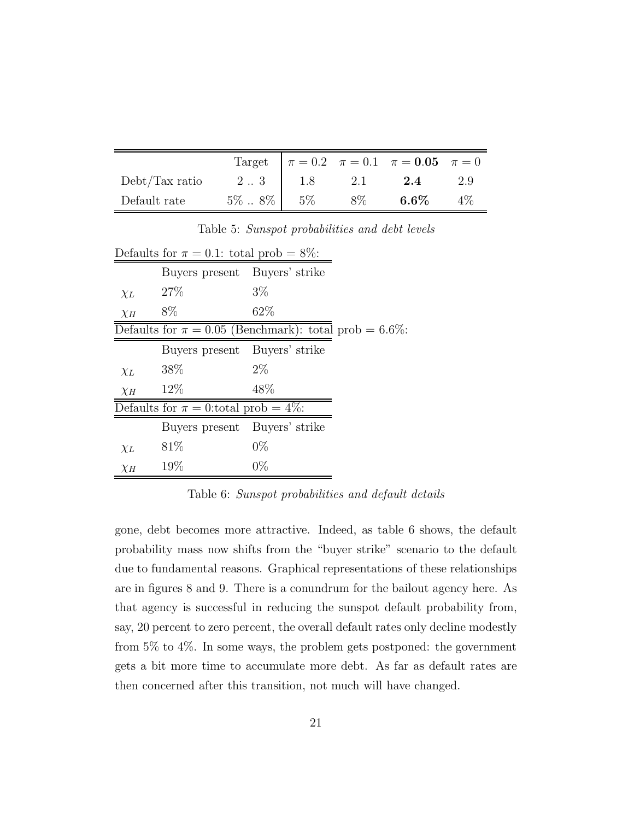|                |                   |     | Target $\pi = 0.2$ $\pi = 0.1$ $\pi = 0.05$ $\pi = 0$ |       |
|----------------|-------------------|-----|-------------------------------------------------------|-------|
| Debt/Tax ratio | $2.3$   1.8       | 2.1 | 2.4                                                   | 2.9   |
| Default rate   | $5\%$ . $8\%$ 5\% | 8%  | $6.6\%$                                               | $4\%$ |

Table 5: Sunspot probabilities and debt levels

|                                                           | Defaults for $\pi = 0.1$ : total prob = 8%: |       |  |  |
|-----------------------------------------------------------|---------------------------------------------|-------|--|--|
|                                                           | Buyers present Buyers' strike               |       |  |  |
| $\chi_L$                                                  | 27%                                         | $3\%$ |  |  |
| $\chi_H$                                                  | 8%                                          | 62\%  |  |  |
| Defaults for $\pi = 0.05$ (Benchmark): total prob = 6.6%: |                                             |       |  |  |
|                                                           | Buyers present Buyers' strike               |       |  |  |
| $\chi_L$                                                  | 38\%                                        | $2\%$ |  |  |
| $\chi_H$                                                  | 12%                                         | 48\%  |  |  |
| Defaults for $\pi = 0$ : total prob = 4\%:                |                                             |       |  |  |
|                                                           | Buyers present Buyers' strike               |       |  |  |
| $\chi_L$                                                  | 81\%                                        | $0\%$ |  |  |
| $\chi_H$                                                  | 19%                                         | $0\%$ |  |  |

Table 6: Sunspot probabilities and default details

gone, debt becomes more attractive. Indeed, as table 6 shows, the default probability mass now shifts from the "buyer strike" scenario to the default due to fundamental reasons. Graphical representations of these relationships are in figures 8 and 9. There is a conundrum for the bailout agency here. As that agency is successful in reducing the sunspot default probability from, say, 20 percent to zero percent, the overall default rates only decline modestly from 5% to 4%. In some ways, the problem gets postponed: the government gets a bit more time to accumulate more debt. As far as default rates are then concerned after this transition, not much will have changed.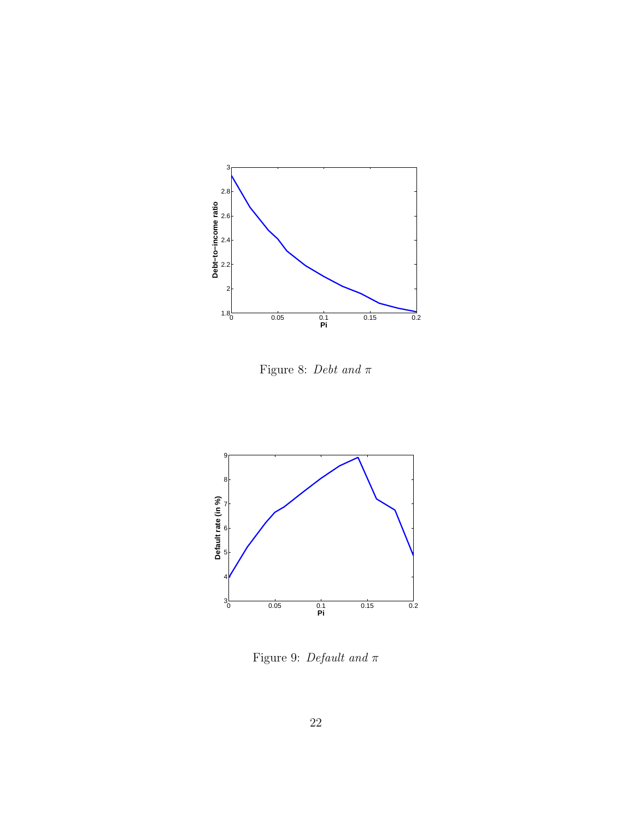

Figure 8: Debt and  $\pi$ 



Figure 9: Default and  $\pi$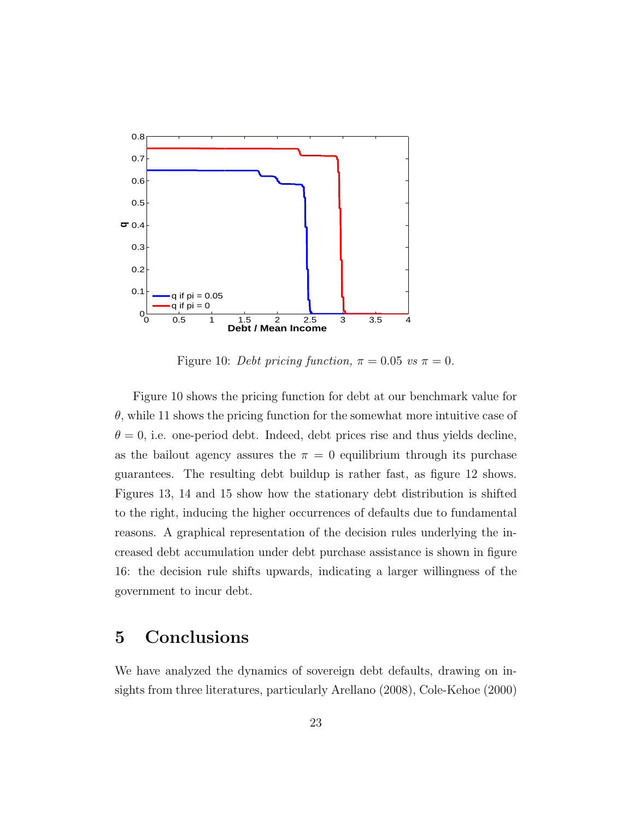

Figure 10: Debt pricing function,  $\pi = 0.05$  vs  $\pi = 0$ .

Figure 10 shows the pricing function for debt at our benchmark value for  $\theta$ , while 11 shows the pricing function for the somewhat more intuitive case of  $\theta = 0$ , i.e. one-period debt. Indeed, debt prices rise and thus yields decline, as the bailout agency assures the  $\pi = 0$  equilibrium through its purchase guarantees. The resulting debt buildup is rather fast, as figure 12 shows. Figures 13, 14 and 15 show how the stationary debt distribution is shifted to the right, inducing the higher occurrences of defaults due to fundamental reasons. A graphical representation of the decision rules underlying the increased debt accumulation under debt purchase assistance is shown in figure 16: the decision rule shifts upwards, indicating a larger willingness of the government to incur debt.

# 5 Conclusions

We have analyzed the dynamics of sovereign debt defaults, drawing on insights from three literatures, particularly Arellano (2008), Cole-Kehoe (2000)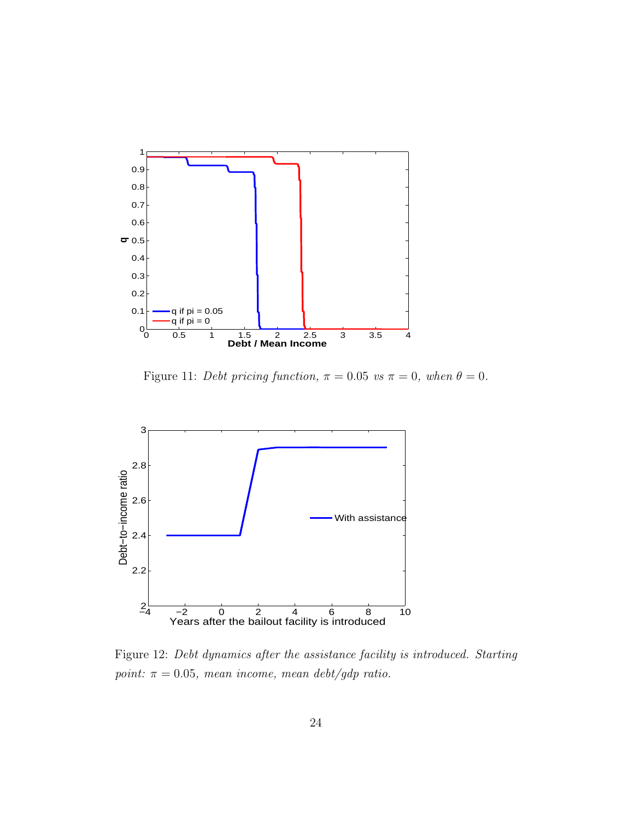

Figure 11: Debt pricing function,  $\pi = 0.05$  vs  $\pi = 0$ , when  $\theta = 0$ .



Figure 12: Debt dynamics after the assistance facility is introduced. Starting point:  $\pi = 0.05$ , mean income, mean debt/gdp ratio.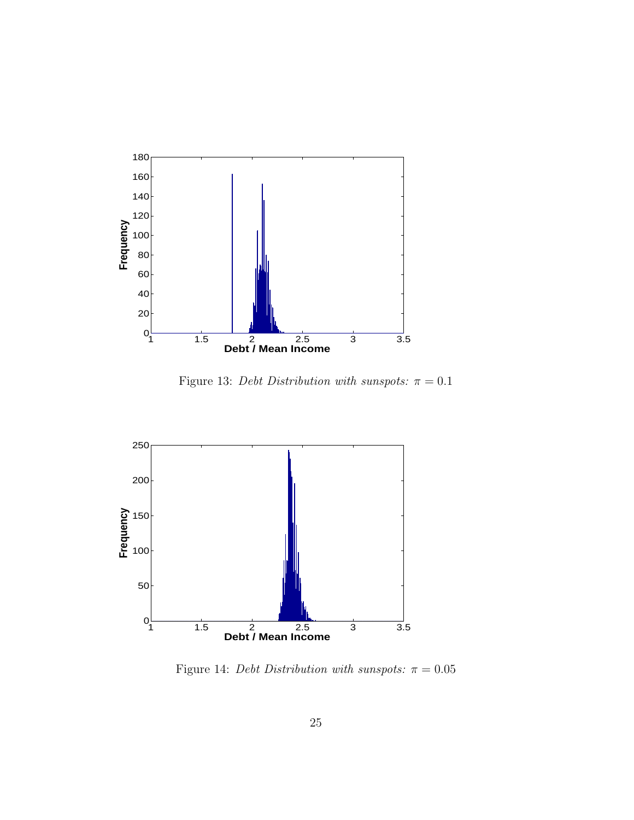

Figure 13: Debt Distribution with sunspots:  $\pi = 0.1$ 



Figure 14: Debt Distribution with sunspots:  $\pi = 0.05$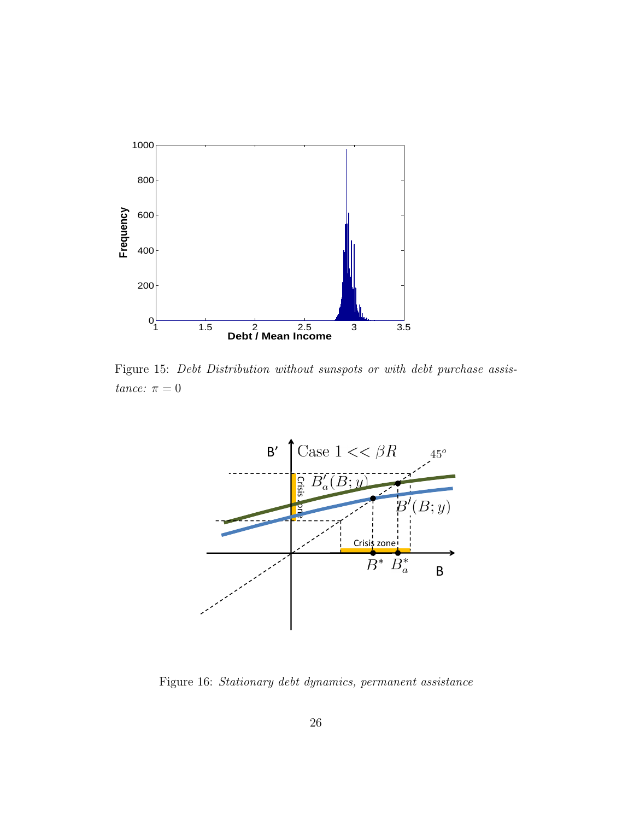

Figure 15: Debt Distribution without sunspots or with debt purchase assistance:  $\pi = 0$ 



Figure 16: Stationary debt dynamics, permanent assistance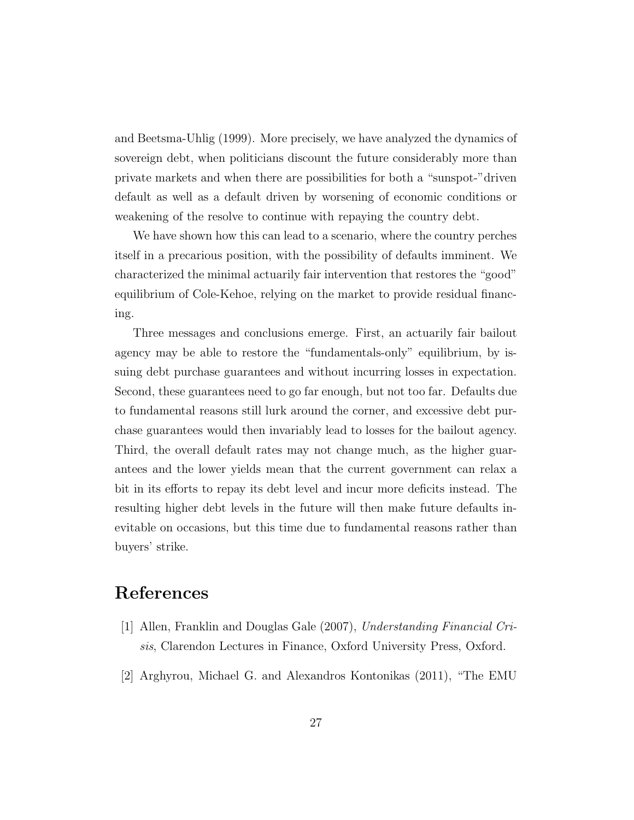and Beetsma-Uhlig (1999). More precisely, we have analyzed the dynamics of sovereign debt, when politicians discount the future considerably more than private markets and when there are possibilities for both a "sunspot-"driven default as well as a default driven by worsening of economic conditions or weakening of the resolve to continue with repaying the country debt.

We have shown how this can lead to a scenario, where the country perches itself in a precarious position, with the possibility of defaults imminent. We characterized the minimal actuarily fair intervention that restores the "good" equilibrium of Cole-Kehoe, relying on the market to provide residual financing.

Three messages and conclusions emerge. First, an actuarily fair bailout agency may be able to restore the "fundamentals-only" equilibrium, by issuing debt purchase guarantees and without incurring losses in expectation. Second, these guarantees need to go far enough, but not too far. Defaults due to fundamental reasons still lurk around the corner, and excessive debt purchase guarantees would then invariably lead to losses for the bailout agency. Third, the overall default rates may not change much, as the higher guarantees and the lower yields mean that the current government can relax a bit in its efforts to repay its debt level and incur more deficits instead. The resulting higher debt levels in the future will then make future defaults inevitable on occasions, but this time due to fundamental reasons rather than buyers' strike.

# References

- [1] Allen, Franklin and Douglas Gale (2007), Understanding Financial Crisis, Clarendon Lectures in Finance, Oxford University Press, Oxford.
- [2] Arghyrou, Michael G. and Alexandros Kontonikas (2011), "The EMU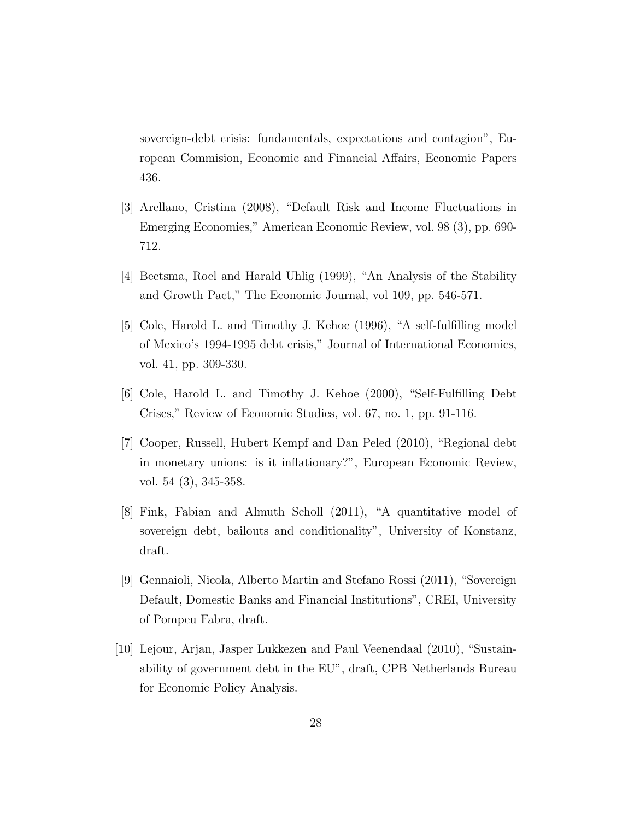sovereign-debt crisis: fundamentals, expectations and contagion", European Commision, Economic and Financial Affairs, Economic Papers 436.

- [3] Arellano, Cristina (2008), "Default Risk and Income Fluctuations in Emerging Economies," American Economic Review, vol. 98 (3), pp. 690- 712.
- [4] Beetsma, Roel and Harald Uhlig (1999), "An Analysis of the Stability and Growth Pact," The Economic Journal, vol 109, pp. 546-571.
- [5] Cole, Harold L. and Timothy J. Kehoe (1996), "A self-fulfilling model of Mexico's 1994-1995 debt crisis," Journal of International Economics, vol. 41, pp. 309-330.
- [6] Cole, Harold L. and Timothy J. Kehoe (2000), "Self-Fulfilling Debt Crises," Review of Economic Studies, vol. 67, no. 1, pp. 91-116.
- [7] Cooper, Russell, Hubert Kempf and Dan Peled (2010), "Regional debt in monetary unions: is it inflationary?", European Economic Review, vol. 54 (3), 345-358.
- [8] Fink, Fabian and Almuth Scholl (2011), "A quantitative model of sovereign debt, bailouts and conditionality", University of Konstanz, draft.
- [9] Gennaioli, Nicola, Alberto Martin and Stefano Rossi (2011), "Sovereign Default, Domestic Banks and Financial Institutions", CREI, University of Pompeu Fabra, draft.
- [10] Lejour, Arjan, Jasper Lukkezen and Paul Veenendaal (2010), "Sustainability of government debt in the EU", draft, CPB Netherlands Bureau for Economic Policy Analysis.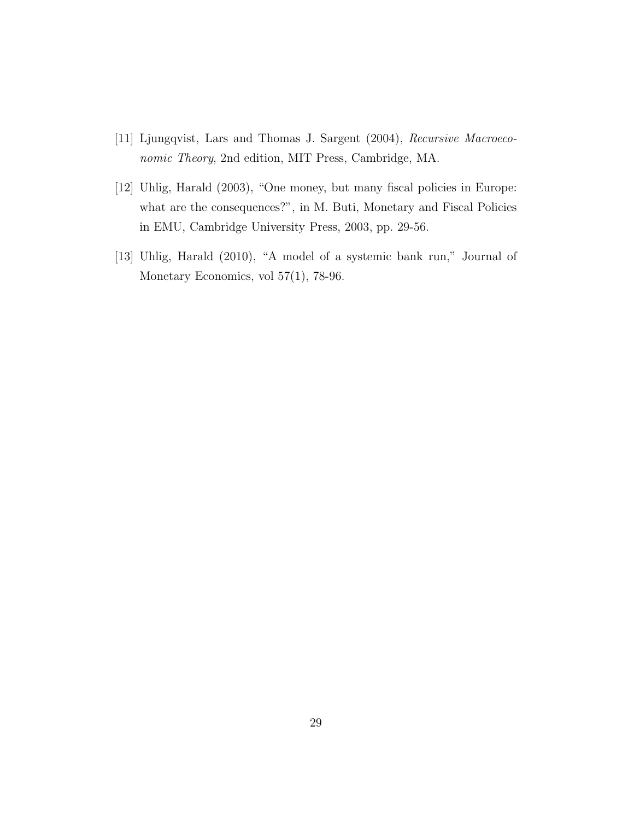- [11] Ljungqvist, Lars and Thomas J. Sargent (2004), Recursive Macroeconomic Theory, 2nd edition, MIT Press, Cambridge, MA.
- [12] Uhlig, Harald (2003), "One money, but many fiscal policies in Europe: what are the consequences?", in M. Buti, Monetary and Fiscal Policies in EMU, Cambridge University Press, 2003, pp. 29-56.
- [13] Uhlig, Harald (2010), "A model of a systemic bank run," Journal of Monetary Economics, vol 57(1), 78-96.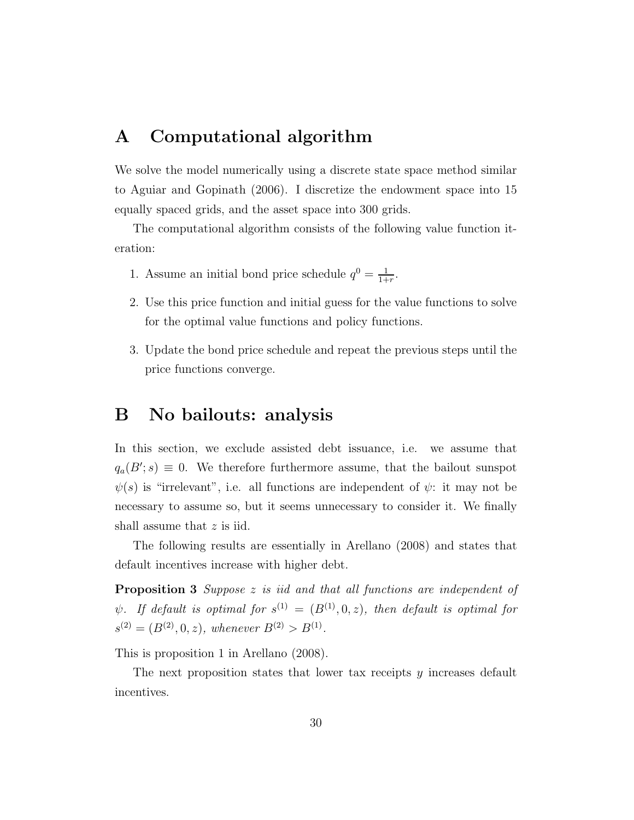# A Computational algorithm

We solve the model numerically using a discrete state space method similar to Aguiar and Gopinath (2006). I discretize the endowment space into 15 equally spaced grids, and the asset space into 300 grids.

The computational algorithm consists of the following value function iteration:

- 1. Assume an initial bond price schedule  $q^0 = \frac{1}{1+}$  $\frac{1}{1+r}$ .
- 2. Use this price function and initial guess for the value functions to solve for the optimal value functions and policy functions.
- 3. Update the bond price schedule and repeat the previous steps until the price functions converge.

### B No bailouts: analysis

In this section, we exclude assisted debt issuance, i.e. we assume that  $q_a(B';s) \equiv 0$ . We therefore furthermore assume, that the bailout sunspot  $\psi(s)$  is "irrelevant", i.e. all functions are independent of  $\psi$ : it may not be necessary to assume so, but it seems unnecessary to consider it. We finally shall assume that z is iid.

The following results are essentially in Arellano (2008) and states that default incentives increase with higher debt.

Proposition 3 Suppose z is iid and that all functions are independent of  $\psi$ . If default is optimal for  $s^{(1)} = (B^{(1)}, 0, z)$ , then default is optimal for  $s^{(2)} = (B^{(2)}, 0, z),$  whenever  $B^{(2)} > B^{(1)}$ .

This is proposition 1 in Arellano (2008).

The next proposition states that lower tax receipts  $y$  increases default incentives.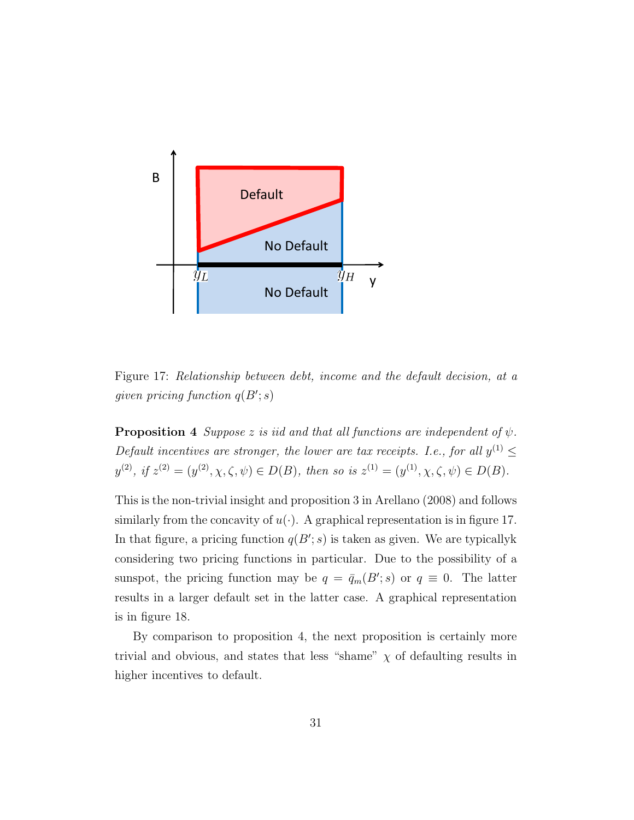

Figure 17: Relationship between debt, income and the default decision, at a given pricing function  $q(B'; s)$ 

**Proposition 4** Suppose z is iid and that all functions are independent of  $\psi$ . Default incentives are stronger, the lower are tax receipts. I.e., for all  $y^{(1)} \leq$  $y^{(2)}$ , if  $z^{(2)} = (y^{(2)}, \chi, \zeta, \psi) \in D(B)$ , then so is  $z^{(1)} = (y^{(1)}, \chi, \zeta, \psi) \in D(B)$ .

This is the non-trivial insight and proposition 3 in Arellano (2008) and follows similarly from the concavity of  $u(\cdot)$ . A graphical representation is in figure 17. In that figure, a pricing function  $q(B'; s)$  is taken as given. We are typically k considering two pricing functions in particular. Due to the possibility of a sunspot, the pricing function may be  $q = \bar{q}_m(B'; s)$  or  $q \equiv 0$ . The latter results in a larger default set in the latter case. A graphical representation is in figure 18.

By comparison to proposition 4, the next proposition is certainly more trivial and obvious, and states that less "shame"  $\chi$  of defaulting results in higher incentives to default.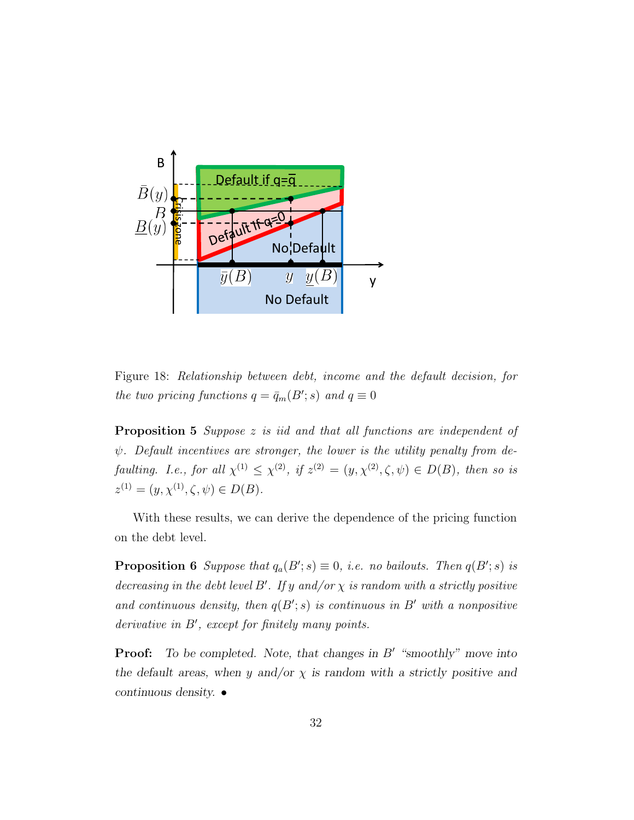

Figure 18: Relationship between debt, income and the default decision, for the two pricing functions  $q = \bar{q}_m(B'; s)$  and  $q \equiv 0$ 

**Proposition 5** Suppose z is iid and that all functions are independent of  $\psi$ . Default incentives are stronger, the lower is the utility penalty from defaulting. I.e., for all  $\chi^{(1)} \leq \chi^{(2)}$ , if  $z^{(2)} = (y, \chi^{(2)}, \zeta, \psi) \in D(B)$ , then so is  $z^{(1)} = (y, \chi^{(1)}, \zeta, \psi) \in D(B).$ 

With these results, we can derive the dependence of the pricing function on the debt level.

**Proposition 6** Suppose that  $q_a(B'; s) \equiv 0$ , i.e. no bailouts. Then  $q(B'; s)$  is decreasing in the debt level B'. If y and/or  $\chi$  is random with a strictly positive and continuous density, then  $q(B'; s)$  is continuous in B' with a nonpositive derivative in  $B'$ , except for finitely many points.

**Proof:** To be completed. Note, that changes in  $B'$  "smoothly" move into the default areas, when y and/or  $\chi$  is random with a strictly positive and continuous density. •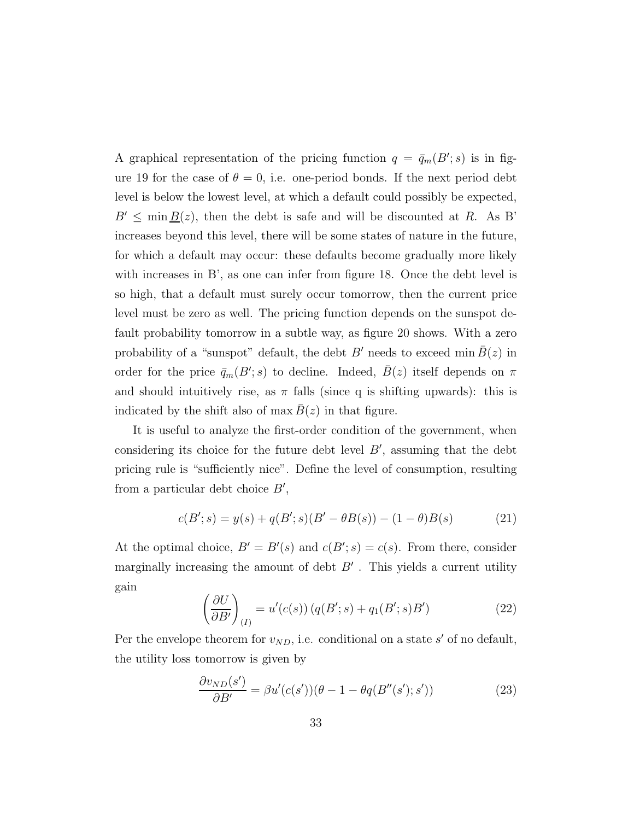A graphical representation of the pricing function  $q = \bar{q}_m(B'; s)$  is in figure 19 for the case of  $\theta = 0$ , i.e. one-period bonds. If the next period debt level is below the lowest level, at which a default could possibly be expected,  $B' \leq \min B(z)$ , then the debt is safe and will be discounted at R. As B' increases beyond this level, there will be some states of nature in the future, for which a default may occur: these defaults become gradually more likely with increases in B', as one can infer from figure 18. Once the debt level is so high, that a default must surely occur tomorrow, then the current price level must be zero as well. The pricing function depends on the sunspot default probability tomorrow in a subtle way, as figure 20 shows. With a zero probability of a "sunspot" default, the debt B' needs to exceed min  $\overline{B}(z)$  in order for the price  $\bar{q}_m(B';s)$  to decline. Indeed,  $\bar{B}(z)$  itself depends on  $\pi$ and should intuitively rise, as  $\pi$  falls (since q is shifting upwards): this is indicated by the shift also of max  $B(z)$  in that figure.

It is useful to analyze the first-order condition of the government, when considering its choice for the future debt level  $B'$ , assuming that the debt pricing rule is "sufficiently nice". Define the level of consumption, resulting from a particular debt choice  $B'$ ,

$$
c(B';s) = y(s) + q(B';s)(B' - \theta B(s)) - (1 - \theta)B(s)
$$
 (21)

At the optimal choice,  $B' = B'(s)$  and  $c(B'; s) = c(s)$ . From there, consider marginally increasing the amount of debt  $B'$ . This yields a current utility gain

$$
\left(\frac{\partial U}{\partial B'}\right)_{(I)} = u'(c(s)) \left(q(B';s) + q_1(B';s)B'\right) \tag{22}
$$

Per the envelope theorem for  $v_{ND}$ , i.e. conditional on a state s' of no default, the utility loss tomorrow is given by

$$
\frac{\partial v_{ND}(s')}{\partial B'} = \beta u'(c(s'))(\theta - 1 - \theta q(B''(s'); s'))\tag{23}
$$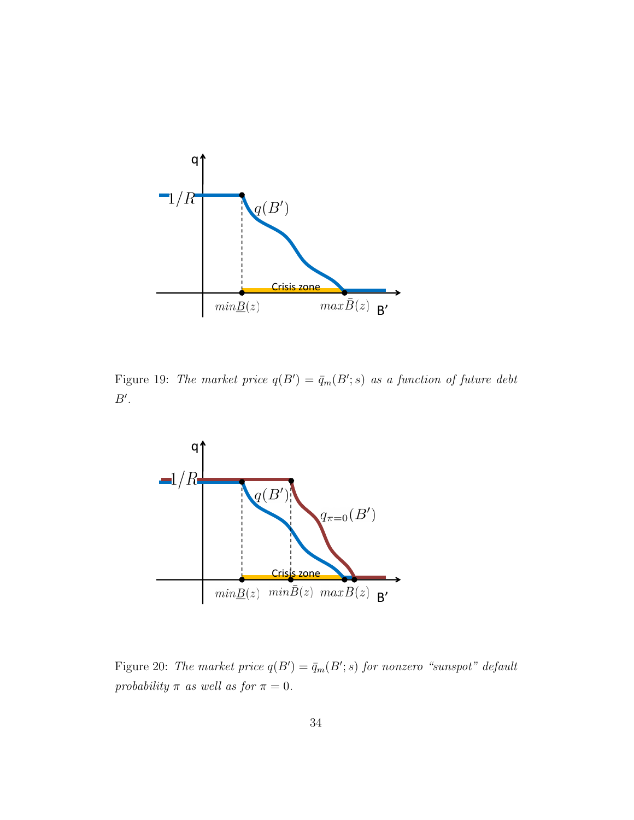

Figure 19: The market price  $q(B') = \bar{q}_m(B'; s)$  as a function of future debt  $B^{\prime}$ .



Figure 20: The market price  $q(B') = \bar{q}_m(B'; s)$  for nonzero "sunspot" default probability  $\pi$  as well as for  $\pi = 0$ .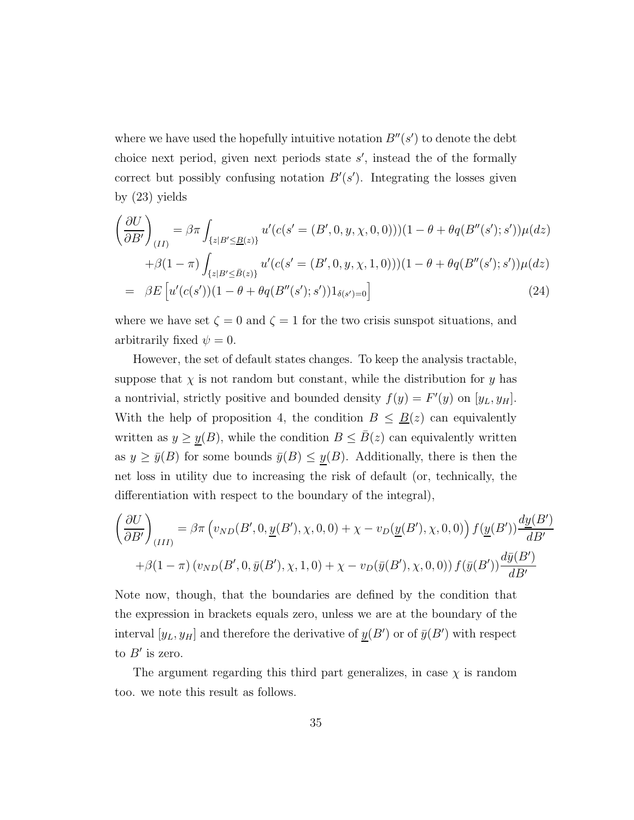where we have used the hopefully intuitive notation  $B''(s')$  to denote the debt choice next period, given next periods state  $s'$ , instead the of the formally correct but possibly confusing notation  $B'(s')$ . Integrating the losses given by (23) yields

$$
\left(\frac{\partial U}{\partial B'}\right)_{(II)} = \beta \pi \int_{\{z|B'\leq B(z)\}} u'(c(s' = (B', 0, y, \chi, 0, 0)) (1 - \theta + \theta q(B''(s'); s')) \mu(dz) \n+ \beta (1 - \pi) \int_{\{z|B'\leq \bar{B}(z)\}} u'(c(s' = (B', 0, y, \chi, 1, 0)) (1 - \theta + \theta q(B''(s'); s')) \mu(dz) \n= \beta E \left[ u'(c(s')) (1 - \theta + \theta q(B''(s'); s')) 1_{\delta(s')=0} \right]
$$
\n(24)

where we have set  $\zeta = 0$  and  $\zeta = 1$  for the two crisis sunspot situations, and arbitrarily fixed  $\psi = 0$ .

However, the set of default states changes. To keep the analysis tractable, suppose that  $\chi$  is not random but constant, while the distribution for y has a nontrivial, strictly positive and bounded density  $f(y) = F'(y)$  on  $[y_L, y_H]$ . With the help of proposition 4, the condition  $B \leq \underline{B}(z)$  can equivalently written as  $y \geq y(B)$ , while the condition  $B \leq \overline{B}(z)$  can equivalently written as  $y \ge \bar{y}(B)$  for some bounds  $\bar{y}(B) \le \underline{y}(B)$ . Additionally, there is then the net loss in utility due to increasing the risk of default (or, technically, the differentiation with respect to the boundary of the integral),

$$
\left(\frac{\partial U}{\partial B'}\right)_{(III)} = \beta \pi \left(v_{ND}(B',0,\underline{y}(B'),\chi,0,0) + \chi - v_D(\underline{y}(B'),\chi,0,0)\right) f(\underline{y}(B')) \frac{dy(B')}{dB'}
$$

$$
+ \beta(1-\pi) \left(v_{ND}(B',0,\overline{y}(B'),\chi,1,0) + \chi - v_D(\overline{y}(B'),\chi,0,0)\right) f(\overline{y}(B')) \frac{d\overline{y}(B')}{dB'}
$$

Note now, though, that the boundaries are defined by the condition that the expression in brackets equals zero, unless we are at the boundary of the interval  $[y_L, y_H]$  and therefore the derivative of  $y(B')$  or of  $\bar{y}(B')$  with respect to  $B'$  is zero.

The argument regarding this third part generalizes, in case  $\chi$  is random too. we note this result as follows.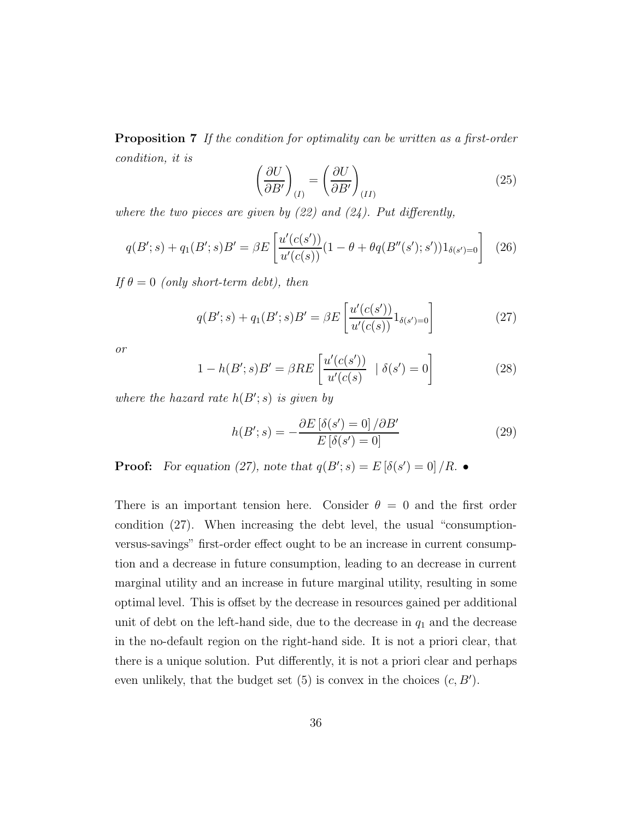**Proposition 7** If the condition for optimality can be written as a first-order condition, it is

$$
\left(\frac{\partial U}{\partial B'}\right)_{(I)} = \left(\frac{\partial U}{\partial B'}\right)_{(II)}\tag{25}
$$

where the two pieces are given by  $(22)$  and  $(24)$ . Put differently,

$$
q(B';s) + q_1(B';s)B' = \beta E \left[ \frac{u'(c(s'))}{u'(c(s))} (1 - \theta + \theta q(B''(s'); s')) 1_{\delta(s')=0} \right] \tag{26}
$$

If  $\theta = 0$  (only short-term debt), then

$$
q(B';s) + q_1(B';s)B' = \beta E \left[ \frac{u'(c(s'))}{u'(c(s))} 1_{\delta(s')=0} \right]
$$
 (27)

or

$$
1 - h(B';s)B' = \beta RE\left[\frac{u'(c(s'))}{u'(c(s))} | \delta(s') = 0\right]
$$
 (28)

where the hazard rate  $h(B'; s)$  is given by

$$
h(B';s) = -\frac{\partial E\left[\delta(s') = 0\right]/\partial B'}{E\left[\delta(s') = 0\right]}
$$
\n(29)

**Proof:** For equation (27), note that  $q(B'; s) = E[\delta(s') = 0] / R$ .

There is an important tension here. Consider  $\theta = 0$  and the first order condition (27). When increasing the debt level, the usual "consumptionversus-savings" first-order effect ought to be an increase in current consumption and a decrease in future consumption, leading to an decrease in current marginal utility and an increase in future marginal utility, resulting in some optimal level. This is offset by the decrease in resources gained per additional unit of debt on the left-hand side, due to the decrease in  $q_1$  and the decrease in the no-default region on the right-hand side. It is not a priori clear, that there is a unique solution. Put differently, it is not a priori clear and perhaps even unlikely, that the budget set  $(5)$  is convex in the choices  $(c, B')$ .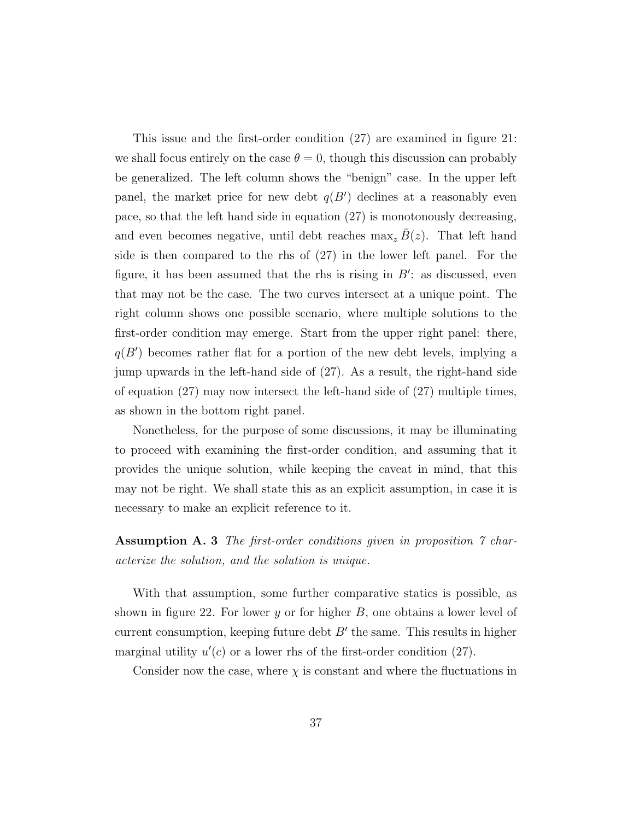This issue and the first-order condition (27) are examined in figure 21: we shall focus entirely on the case  $\theta = 0$ , though this discussion can probably be generalized. The left column shows the "benign" case. In the upper left panel, the market price for new debt  $q(B')$  declines at a reasonably even pace, so that the left hand side in equation (27) is monotonously decreasing, and even becomes negative, until debt reaches  $\max_z B(z)$ . That left hand side is then compared to the rhs of (27) in the lower left panel. For the figure, it has been assumed that the rhs is rising in  $B'$ : as discussed, even that may not be the case. The two curves intersect at a unique point. The right column shows one possible scenario, where multiple solutions to the first-order condition may emerge. Start from the upper right panel: there,  $q(B')$  becomes rather flat for a portion of the new debt levels, implying a jump upwards in the left-hand side of (27). As a result, the right-hand side of equation (27) may now intersect the left-hand side of (27) multiple times, as shown in the bottom right panel.

Nonetheless, for the purpose of some discussions, it may be illuminating to proceed with examining the first-order condition, and assuming that it provides the unique solution, while keeping the caveat in mind, that this may not be right. We shall state this as an explicit assumption, in case it is necessary to make an explicit reference to it.

#### Assumption A. 3 The first-order conditions given in proposition 7 characterize the solution, and the solution is unique.

With that assumption, some further comparative statics is possible, as shown in figure 22. For lower y or for higher  $B$ , one obtains a lower level of current consumption, keeping future debt  $B'$  the same. This results in higher marginal utility  $u'(c)$  or a lower rhs of the first-order condition (27).

Consider now the case, where  $\chi$  is constant and where the fluctuations in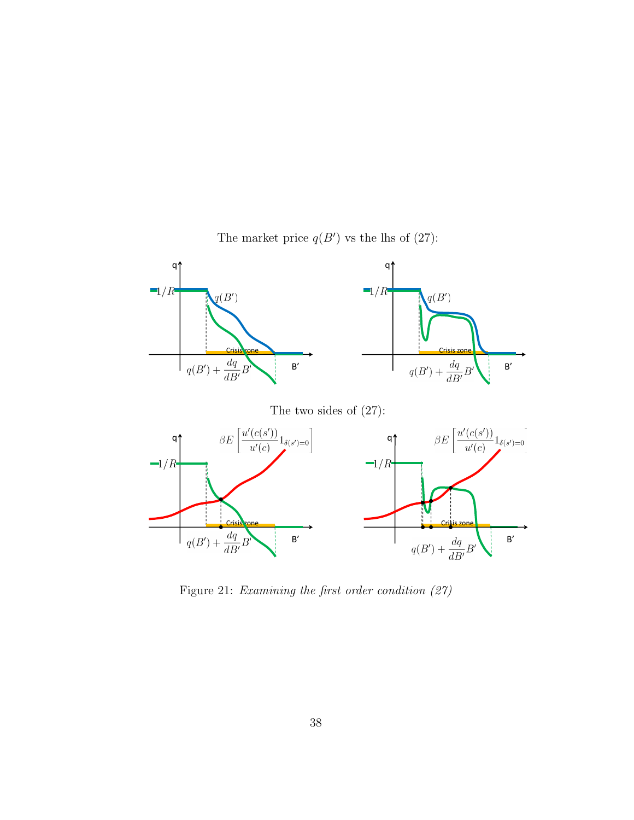

The market price  $q(B')$  vs the lhs of  $(27)$ :

Figure 21: Examining the first order condition (27)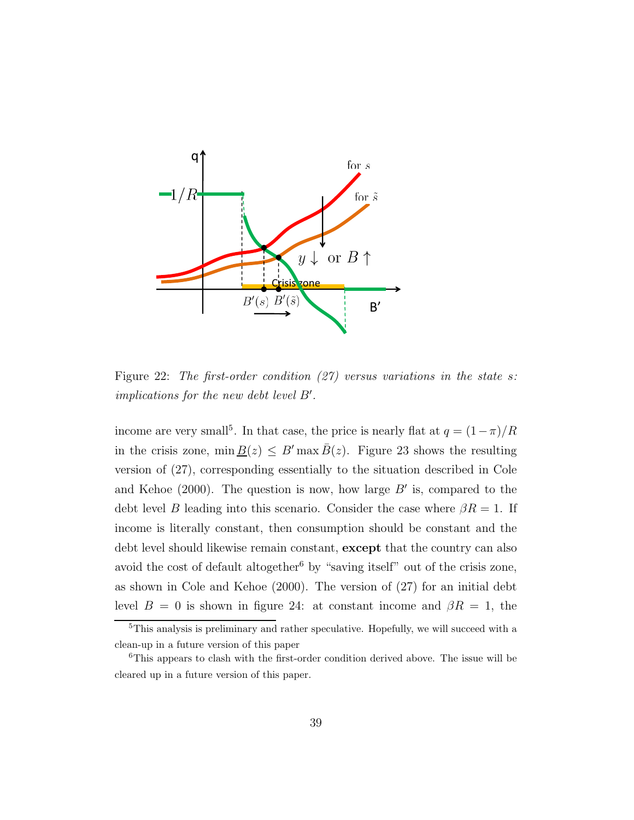

Figure 22: The first-order condition  $(27)$  versus variations in the state s: implications for the new debt level  $B'$ .

income are very small<sup>5</sup>. In that case, the price is nearly flat at  $q = (1 - \pi)/R$ in the crisis zone, min  $\underline{B}(z) \leq B'$  max  $\overline{B}(z)$ . Figure 23 shows the resulting version of (27), corresponding essentially to the situation described in Cole and Kehoe  $(2000)$ . The question is now, how large  $B'$  is, compared to the debt level B leading into this scenario. Consider the case where  $\beta R = 1$ . If income is literally constant, then consumption should be constant and the debt level should likewise remain constant, except that the country can also avoid the cost of default altogether<sup>6</sup> by "saving itself" out of the crisis zone, as shown in Cole and Kehoe (2000). The version of (27) for an initial debt level  $B = 0$  is shown in figure 24: at constant income and  $\beta R = 1$ , the

 $5$ This analysis is preliminary and rather speculative. Hopefully, we will succeed with a clean-up in a future version of this paper

<sup>6</sup>This appears to clash with the first-order condition derived above. The issue will be cleared up in a future version of this paper.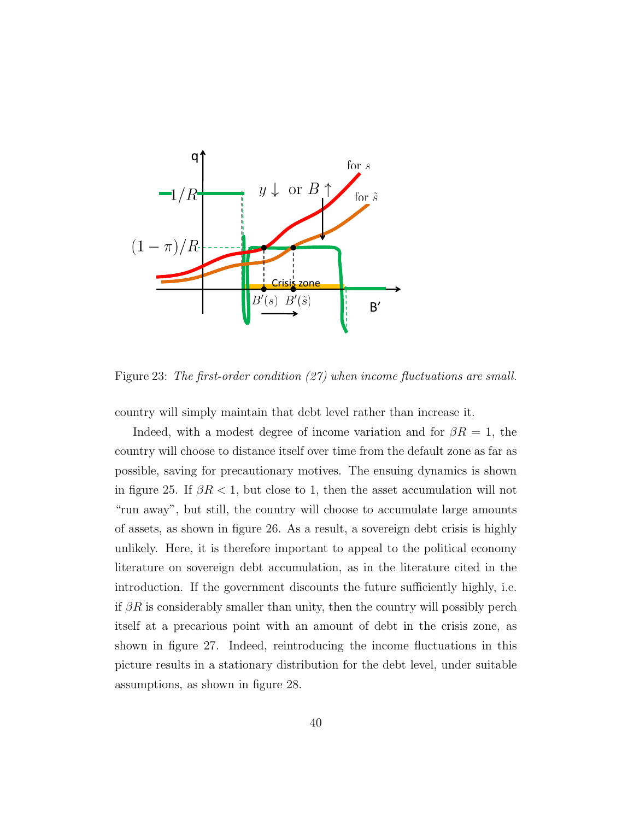

Figure 23: The first-order condition (27) when income fluctuations are small.

country will simply maintain that debt level rather than increase it.

Indeed, with a modest degree of income variation and for  $\beta R = 1$ , the country will choose to distance itself over time from the default zone as far as possible, saving for precautionary motives. The ensuing dynamics is shown in figure 25. If  $\beta R < 1$ , but close to 1, then the asset accumulation will not "run away", but still, the country will choose to accumulate large amounts of assets, as shown in figure 26. As a result, a sovereign debt crisis is highly unlikely. Here, it is therefore important to appeal to the political economy literature on sovereign debt accumulation, as in the literature cited in the introduction. If the government discounts the future sufficiently highly, i.e. if  $\beta R$  is considerably smaller than unity, then the country will possibly perch itself at a precarious point with an amount of debt in the crisis zone, as shown in figure 27. Indeed, reintroducing the income fluctuations in this picture results in a stationary distribution for the debt level, under suitable assumptions, as shown in figure 28.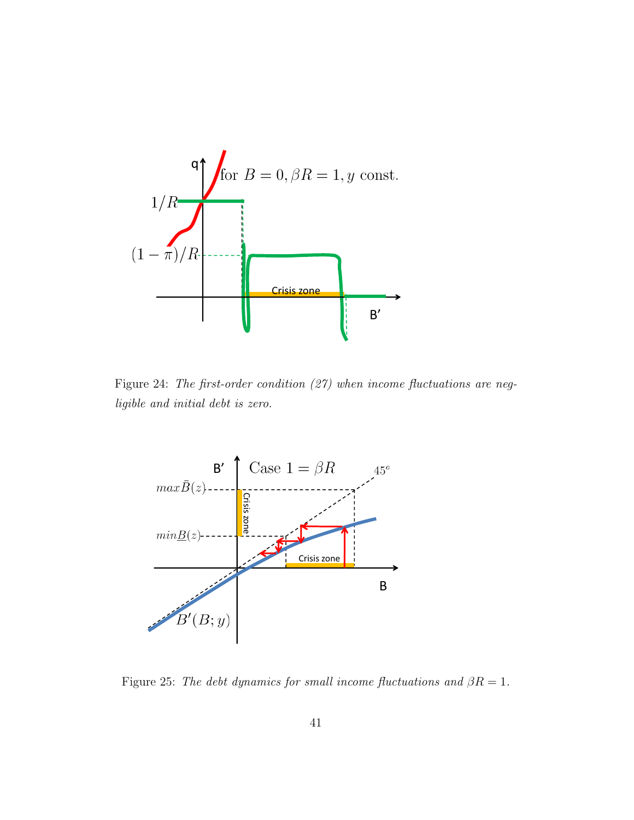

Figure 24: The first-order condition (27) when income fluctuations are negligible and initial debt is zero.



Figure 25: The debt dynamics for small income fluctuations and  $\beta R = 1$ .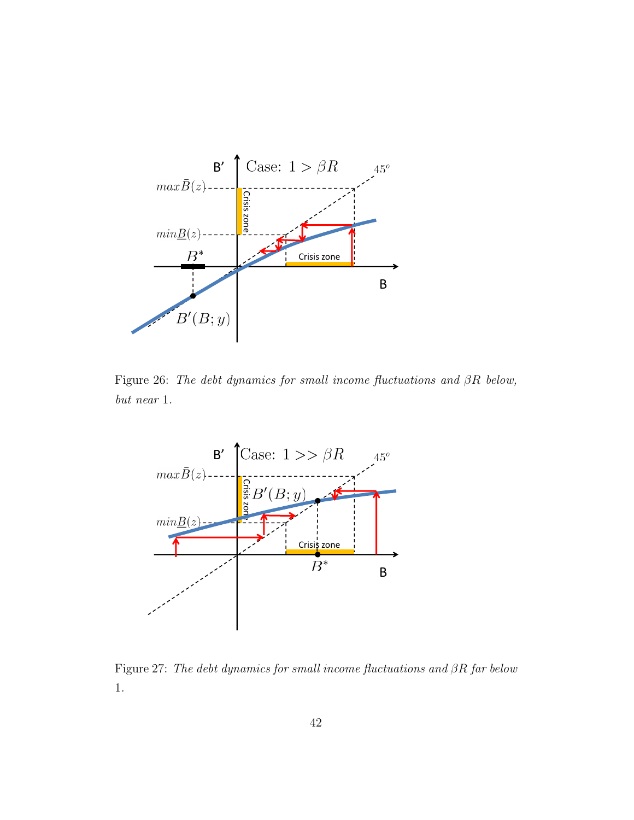

Figure 26: The debt dynamics for small income fluctuations and βR below, but near 1.



Figure 27: The debt dynamics for small income fluctuations and βR far below 1.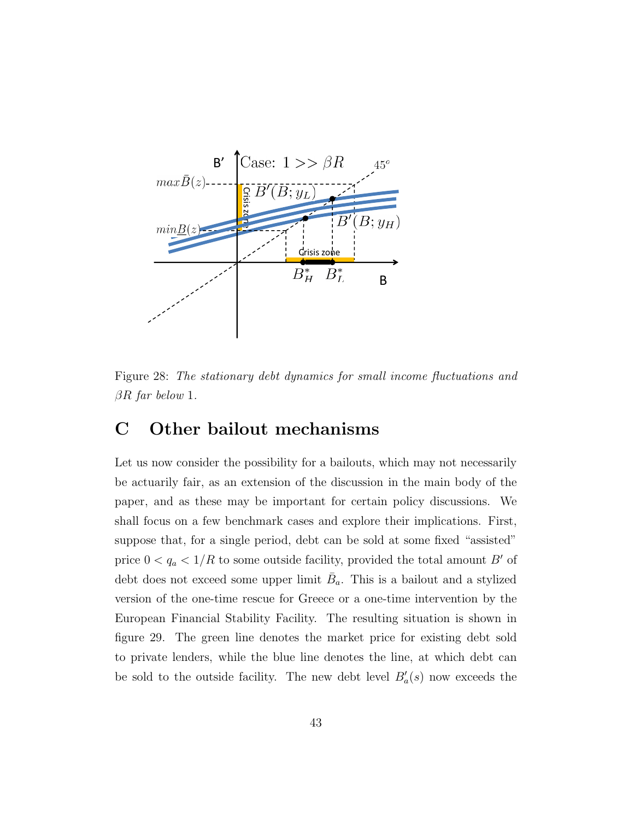

Figure 28: The stationary debt dynamics for small income fluctuations and  $\beta R$  far below 1.

## C Other bailout mechanisms

Let us now consider the possibility for a bailouts, which may not necessarily be actuarily fair, as an extension of the discussion in the main body of the paper, and as these may be important for certain policy discussions. We shall focus on a few benchmark cases and explore their implications. First, suppose that, for a single period, debt can be sold at some fixed "assisted" price  $0 < q_a < 1/R$  to some outside facility, provided the total amount  $B'$  of debt does not exceed some upper limit  $\bar{B}_a$ . This is a bailout and a stylized version of the one-time rescue for Greece or a one-time intervention by the European Financial Stability Facility. The resulting situation is shown in figure 29. The green line denotes the market price for existing debt sold to private lenders, while the blue line denotes the line, at which debt can be sold to the outside facility. The new debt level  $B'_a(s)$  now exceeds the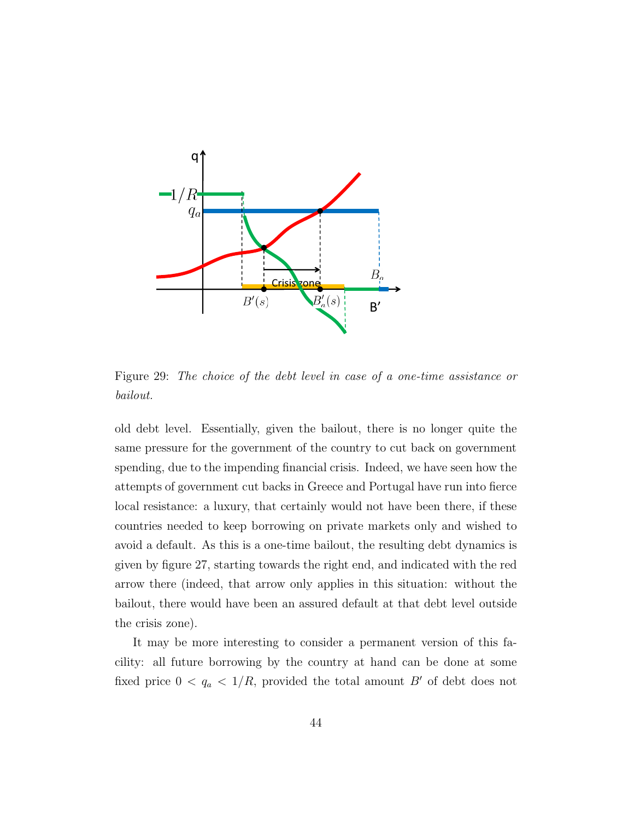

Figure 29: The choice of the debt level in case of a one-time assistance or bailout.

old debt level. Essentially, given the bailout, there is no longer quite the same pressure for the government of the country to cut back on government spending, due to the impending financial crisis. Indeed, we have seen how the attempts of government cut backs in Greece and Portugal have run into fierce local resistance: a luxury, that certainly would not have been there, if these countries needed to keep borrowing on private markets only and wished to avoid a default. As this is a one-time bailout, the resulting debt dynamics is given by figure 27, starting towards the right end, and indicated with the red arrow there (indeed, that arrow only applies in this situation: without the bailout, there would have been an assured default at that debt level outside the crisis zone).

It may be more interesting to consider a permanent version of this facility: all future borrowing by the country at hand can be done at some fixed price  $0 < q_a < 1/R$ , provided the total amount B' of debt does not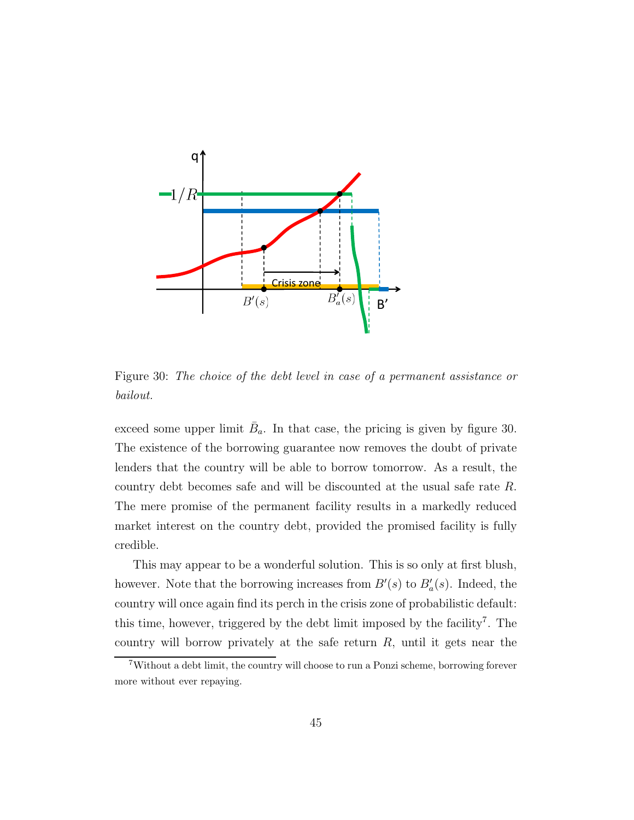

Figure 30: The choice of the debt level in case of a permanent assistance or bailout.

exceed some upper limit  $\bar{B}_a$ . In that case, the pricing is given by figure 30. The existence of the borrowing guarantee now removes the doubt of private lenders that the country will be able to borrow tomorrow. As a result, the country debt becomes safe and will be discounted at the usual safe rate R. The mere promise of the permanent facility results in a markedly reduced market interest on the country debt, provided the promised facility is fully credible.

This may appear to be a wonderful solution. This is so only at first blush, however. Note that the borrowing increases from  $B'(s)$  to  $B'_a(s)$ . Indeed, the country will once again find its perch in the crisis zone of probabilistic default: this time, however, triggered by the debt limit imposed by the facility<sup>7</sup>. The country will borrow privately at the safe return  $R$ , until it gets near the

<sup>7</sup>Without a debt limit, the country will choose to run a Ponzi scheme, borrowing forever more without ever repaying.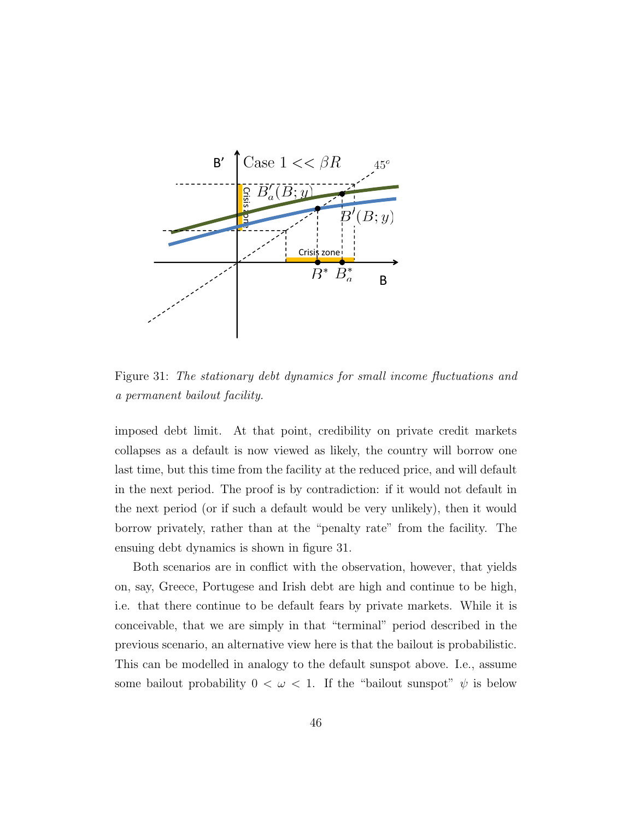

Figure 31: The stationary debt dynamics for small income fluctuations and a permanent bailout facility.

imposed debt limit. At that point, credibility on private credit markets collapses as a default is now viewed as likely, the country will borrow one last time, but this time from the facility at the reduced price, and will default in the next period. The proof is by contradiction: if it would not default in the next period (or if such a default would be very unlikely), then it would borrow privately, rather than at the "penalty rate" from the facility. The ensuing debt dynamics is shown in figure 31.

Both scenarios are in conflict with the observation, however, that yields on, say, Greece, Portugese and Irish debt are high and continue to be high, i.e. that there continue to be default fears by private markets. While it is conceivable, that we are simply in that "terminal" period described in the previous scenario, an alternative view here is that the bailout is probabilistic. This can be modelled in analogy to the default sunspot above. I.e., assume some bailout probability  $0 < \omega < 1$ . If the "bailout sunspot"  $\psi$  is below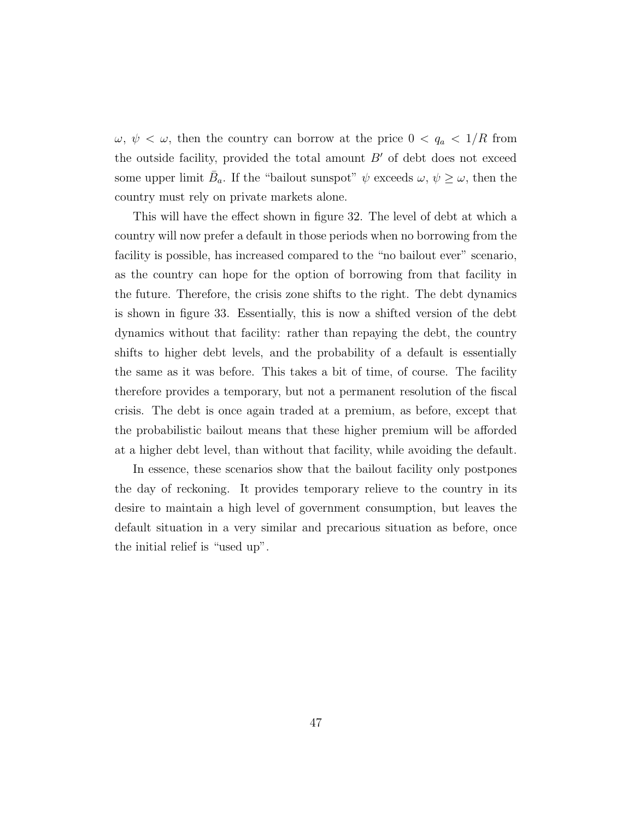$\omega, \psi < \omega$ , then the country can borrow at the price  $0 < q_a < 1/R$  from the outside facility, provided the total amount  $B'$  of debt does not exceed some upper limit  $\bar{B}_a$ . If the "bailout sunspot"  $\psi$  exceeds  $\omega, \psi \geq \omega$ , then the country must rely on private markets alone.

This will have the effect shown in figure 32. The level of debt at which a country will now prefer a default in those periods when no borrowing from the facility is possible, has increased compared to the "no bailout ever" scenario, as the country can hope for the option of borrowing from that facility in the future. Therefore, the crisis zone shifts to the right. The debt dynamics is shown in figure 33. Essentially, this is now a shifted version of the debt dynamics without that facility: rather than repaying the debt, the country shifts to higher debt levels, and the probability of a default is essentially the same as it was before. This takes a bit of time, of course. The facility therefore provides a temporary, but not a permanent resolution of the fiscal crisis. The debt is once again traded at a premium, as before, except that the probabilistic bailout means that these higher premium will be afforded at a higher debt level, than without that facility, while avoiding the default.

In essence, these scenarios show that the bailout facility only postpones the day of reckoning. It provides temporary relieve to the country in its desire to maintain a high level of government consumption, but leaves the default situation in a very similar and precarious situation as before, once the initial relief is "used up".